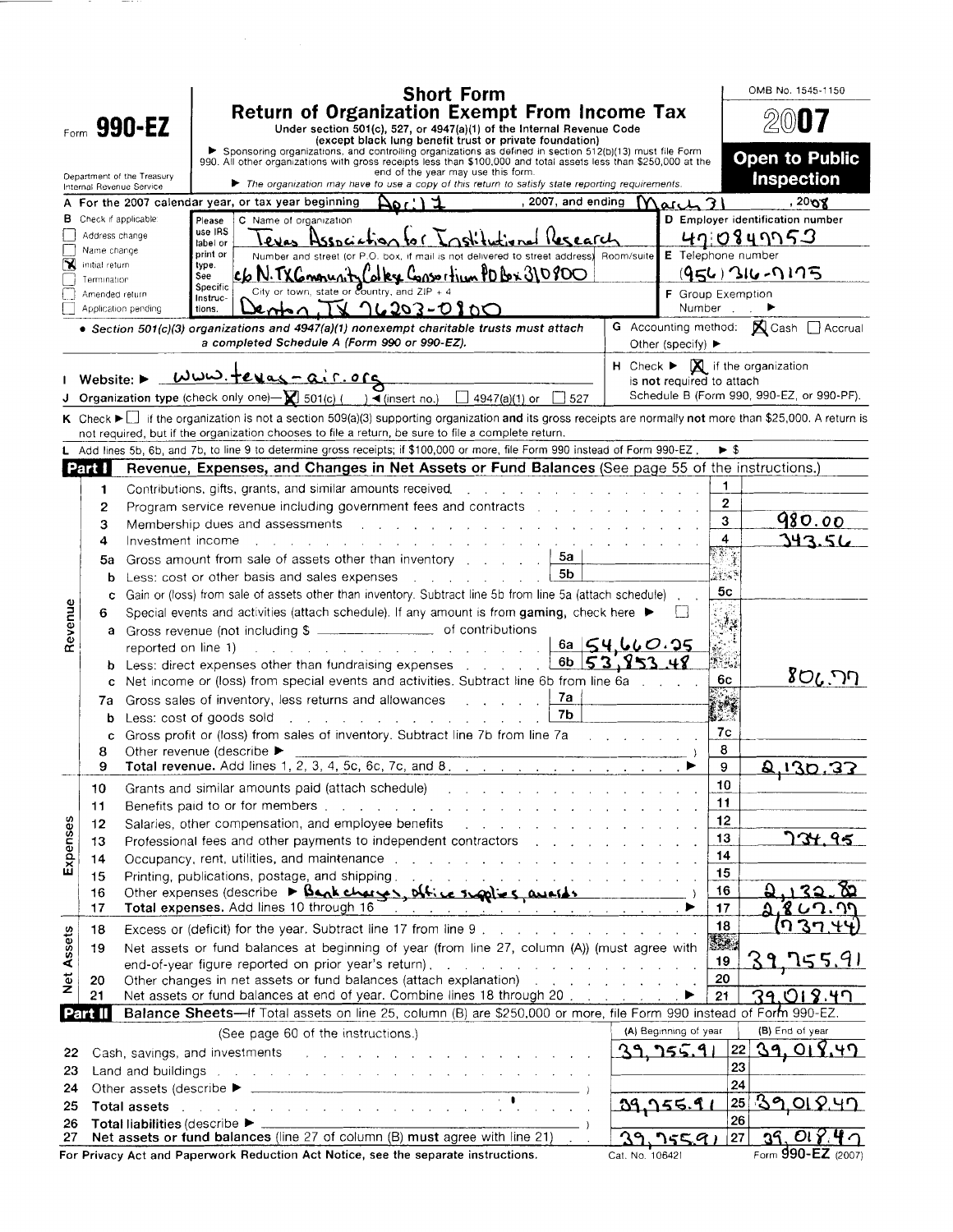|                   | <b>Short Form</b>                                                                                                                                                                                                                                                                                                  |                                                                                                                                                                                                                                   |                     |                                                                                                                                                                                                                                    |                                                                                         |  |                                                                                        |                                    |  | OMB No. 1545-1150 |                                                                                                                 |                                       |                         |                                                                                                                                                          |  |  |
|-------------------|--------------------------------------------------------------------------------------------------------------------------------------------------------------------------------------------------------------------------------------------------------------------------------------------------------------------|-----------------------------------------------------------------------------------------------------------------------------------------------------------------------------------------------------------------------------------|---------------------|------------------------------------------------------------------------------------------------------------------------------------------------------------------------------------------------------------------------------------|-----------------------------------------------------------------------------------------|--|----------------------------------------------------------------------------------------|------------------------------------|--|-------------------|-----------------------------------------------------------------------------------------------------------------|---------------------------------------|-------------------------|----------------------------------------------------------------------------------------------------------------------------------------------------------|--|--|
|                   | <b>Return of Organization Exempt From Income Tax</b><br>Form 990-EZ<br>Under section 501(c), 527, or 4947(a)(1) of the Internal Revenue Code<br>(except black lung benefit trust or private foundation)<br>Sponsoring organizations, and controlling organizations as defined in section 512(b)(13) must file Form |                                                                                                                                                                                                                                   |                     |                                                                                                                                                                                                                                    |                                                                                         |  |                                                                                        |                                    |  |                   |                                                                                                                 |                                       |                         |                                                                                                                                                          |  |  |
|                   |                                                                                                                                                                                                                                                                                                                    | Department of the Treasury                                                                                                                                                                                                        |                     | 990. All other organizations with gross receipts less than \$100,000 and total assets less than \$250,000 at the                                                                                                                   |                                                                                         |  |                                                                                        | end of the year may use this form. |  |                   |                                                                                                                 |                                       |                         | <b>Open to Public</b><br><b>Inspection</b>                                                                                                               |  |  |
|                   | The organization may have to use a copy of this return to satisfy state reporting requirements.<br>Internal Revenue Service<br>,2008<br>, 2007, and ending<br>$MaxL$ 31<br>A For the 2007 calendar year, or tax year beginning<br>۱ : ۱۵۵۰                                                                         |                                                                                                                                                                                                                                   |                     |                                                                                                                                                                                                                                    |                                                                                         |  |                                                                                        |                                    |  |                   |                                                                                                                 |                                       |                         |                                                                                                                                                          |  |  |
|                   |                                                                                                                                                                                                                                                                                                                    | Check if applicable:                                                                                                                                                                                                              | Please              | C Name of organization                                                                                                                                                                                                             |                                                                                         |  |                                                                                        |                                    |  |                   |                                                                                                                 |                                       |                         | D Employer identification number                                                                                                                         |  |  |
|                   | Address change                                                                                                                                                                                                                                                                                                     |                                                                                                                                                                                                                                   | use IRS<br>label or |                                                                                                                                                                                                                                    | evas Association                                                                        |  |                                                                                        |                                    |  |                   |                                                                                                                 |                                       |                         | 41:0849953                                                                                                                                               |  |  |
| N                 | Name change<br>initial return                                                                                                                                                                                                                                                                                      |                                                                                                                                                                                                                                   | print or<br>type.   |                                                                                                                                                                                                                                    | Number and street (or P.O. box, if mail is not delivered to street address). Room/suite |  |                                                                                        |                                    |  |                   |                                                                                                                 | E Telephone number                    |                         |                                                                                                                                                          |  |  |
|                   | Termination                                                                                                                                                                                                                                                                                                        |                                                                                                                                                                                                                                   | See<br>Specific     |                                                                                                                                                                                                                                    | c6 N. TXG mounty Colky Consortium PD Bx 310800                                          |  |                                                                                        |                                    |  |                   |                                                                                                                 |                                       |                         | $(956)$ 316-0175                                                                                                                                         |  |  |
|                   | Amended return                                                                                                                                                                                                                                                                                                     |                                                                                                                                                                                                                                   | Instruc-            |                                                                                                                                                                                                                                    | City or town, state or country, and $ZIP + 4$                                           |  |                                                                                        |                                    |  |                   |                                                                                                                 | <b>F</b> Group Exemption              |                         |                                                                                                                                                          |  |  |
|                   |                                                                                                                                                                                                                                                                                                                    | Application pending                                                                                                                                                                                                               | tions.              |                                                                                                                                                                                                                                    | $x_{n+1}$ TV $16203-0100$                                                               |  |                                                                                        |                                    |  |                   |                                                                                                                 |                                       | Number,                 | G Accounting method: K Cash   Accrual                                                                                                                    |  |  |
|                   |                                                                                                                                                                                                                                                                                                                    | • Section 501(c)(3) organizations and 4947(a)(1) nonexempt charitable trusts must attach                                                                                                                                          |                     | a completed Schedule A (Form 990 or 990-EZ).                                                                                                                                                                                       |                                                                                         |  |                                                                                        |                                    |  |                   |                                                                                                                 | Other (specify) $\blacktriangleright$ |                         |                                                                                                                                                          |  |  |
|                   |                                                                                                                                                                                                                                                                                                                    |                                                                                                                                                                                                                                   |                     | <u>WWW.tevas-air.org</u>                                                                                                                                                                                                           |                                                                                         |  |                                                                                        |                                    |  |                   |                                                                                                                 |                                       |                         | $H$ Check $\blacktriangleright \Box$ if the organization                                                                                                 |  |  |
|                   | Website: $\blacktriangleright$                                                                                                                                                                                                                                                                                     | <b>J</b> Organization type (check only one) $\rightarrow \blacksquare$ 501(c) ( ) $\rightarrow$ (insert no.) $\Box$ 4947(a)(1) or $\Box$ 527                                                                                      |                     |                                                                                                                                                                                                                                    |                                                                                         |  |                                                                                        |                                    |  |                   |                                                                                                                 | is not required to attach             |                         | Schedule B (Form 990, 990-EZ, or 990-PF).                                                                                                                |  |  |
|                   |                                                                                                                                                                                                                                                                                                                    |                                                                                                                                                                                                                                   |                     |                                                                                                                                                                                                                                    |                                                                                         |  |                                                                                        |                                    |  |                   |                                                                                                                 |                                       |                         | K Check ► if the organization is not a section 509(a)(3) supporting organization and its gross receipts are normally not more than \$25,000. A return is |  |  |
|                   |                                                                                                                                                                                                                                                                                                                    | not required, but if the organization chooses to file a return, be sure to file a complete return.                                                                                                                                |                     |                                                                                                                                                                                                                                    |                                                                                         |  |                                                                                        |                                    |  |                   |                                                                                                                 |                                       |                         |                                                                                                                                                          |  |  |
|                   |                                                                                                                                                                                                                                                                                                                    | Add lines 5b, 6b, and 7b, to line 9 to determine gross receipts; if \$100,000 or more, file Form 990 instead of Form 990-EZ.                                                                                                      |                     |                                                                                                                                                                                                                                    |                                                                                         |  |                                                                                        |                                    |  |                   |                                                                                                                 |                                       | $\blacktriangleright$ S |                                                                                                                                                          |  |  |
|                   | Part I                                                                                                                                                                                                                                                                                                             |                                                                                                                                                                                                                                   |                     |                                                                                                                                                                                                                                    |                                                                                         |  |                                                                                        |                                    |  |                   |                                                                                                                 |                                       |                         | Revenue, Expenses, and Changes in Net Assets or Fund Balances (See page 55 of the instructions.)                                                         |  |  |
|                   | 1                                                                                                                                                                                                                                                                                                                  |                                                                                                                                                                                                                                   |                     | Contributions, gifts, grants, and similar amounts received.                                                                                                                                                                        |                                                                                         |  |                                                                                        |                                    |  |                   | and the state of the state of the state of the state of the state of the state of the state of the state of the |                                       | $\mathbf{1}$            |                                                                                                                                                          |  |  |
|                   | 2                                                                                                                                                                                                                                                                                                                  |                                                                                                                                                                                                                                   |                     |                                                                                                                                                                                                                                    |                                                                                         |  |                                                                                        |                                    |  |                   |                                                                                                                 |                                       | 2                       |                                                                                                                                                          |  |  |
|                   | 3                                                                                                                                                                                                                                                                                                                  |                                                                                                                                                                                                                                   |                     | Membership dues and assessments and all the contract of the state of Membership dues and assessments                                                                                                                               |                                                                                         |  |                                                                                        |                                    |  |                   |                                                                                                                 |                                       | 3                       | 980.00                                                                                                                                                   |  |  |
|                   | 4                                                                                                                                                                                                                                                                                                                  | Investment income                                                                                                                                                                                                                 |                     |                                                                                                                                                                                                                                    |                                                                                         |  |                                                                                        |                                    |  |                   |                                                                                                                 |                                       | $\overline{\mathbf{4}}$ | 343.56                                                                                                                                                   |  |  |
|                   | 5a                                                                                                                                                                                                                                                                                                                 |                                                                                                                                                                                                                                   |                     | Gross amount from sale of assets other than inventory with a contact of the state of the state of the state of                                                                                                                     |                                                                                         |  |                                                                                        |                                    |  | 5a<br>5b          |                                                                                                                 |                                       | Ars S                   |                                                                                                                                                          |  |  |
|                   |                                                                                                                                                                                                                                                                                                                    | Less: cost or other basis and sales expenses with the same in the latter state of the latter state of the latter<br>b<br>Gain or (loss) from sale of assets other than inventory. Subtract line 5b from line 5a (attach schedule) |                     |                                                                                                                                                                                                                                    |                                                                                         |  |                                                                                        | 5с                                 |  |                   |                                                                                                                 |                                       |                         |                                                                                                                                                          |  |  |
|                   | с<br>6                                                                                                                                                                                                                                                                                                             |                                                                                                                                                                                                                                   |                     | Special events and activities (attach schedule). If any amount is from gaming, check here $\blacktriangleright$                                                                                                                    |                                                                                         |  |                                                                                        |                                    |  |                   |                                                                                                                 |                                       |                         |                                                                                                                                                          |  |  |
| Revenue           | а                                                                                                                                                                                                                                                                                                                  | Gross revenue (not including \$ _____________________ of contributions                                                                                                                                                            |                     |                                                                                                                                                                                                                                    |                                                                                         |  |                                                                                        |                                    |  |                   |                                                                                                                 |                                       | 清溪                      |                                                                                                                                                          |  |  |
|                   |                                                                                                                                                                                                                                                                                                                    |                                                                                                                                                                                                                                   |                     | reported on line 1) and the contract of the contract of the contract of the contract of the contract of the contract of the contract of the contract of the contract of the contract of the contract of the contract of the co     |                                                                                         |  |                                                                                        |                                    |  |                   | 6a $54.660.95$                                                                                                  |                                       |                         |                                                                                                                                                          |  |  |
|                   |                                                                                                                                                                                                                                                                                                                    |                                                                                                                                                                                                                                   |                     | Less: direct expenses other than fundraising expenses [11, 11, 11]                                                                                                                                                                 |                                                                                         |  |                                                                                        |                                    |  |                   | 6b $53.953$                                                                                                     |                                       | Nis.i                   |                                                                                                                                                          |  |  |
|                   | c                                                                                                                                                                                                                                                                                                                  |                                                                                                                                                                                                                                   |                     |                                                                                                                                                                                                                                    |                                                                                         |  | Net income or (loss) from special events and activities. Subtract line 6b from line 6a |                                    |  |                   |                                                                                                                 | 6c                                    | ריר. לס                 |                                                                                                                                                          |  |  |
|                   | 7a                                                                                                                                                                                                                                                                                                                 | Gross sales of inventory, less returns and allowances and all allow and sales of inter-                                                                                                                                           |                     |                                                                                                                                                                                                                                    |                                                                                         |  |                                                                                        |                                    |  | 7a<br>7b          |                                                                                                                 |                                       |                         |                                                                                                                                                          |  |  |
|                   | b<br>с                                                                                                                                                                                                                                                                                                             | Less: cost of goods sold<br>Gross profit or (loss) from sales of inventory. Subtract line 7b from line 7a                                                                                                                         |                     |                                                                                                                                                                                                                                    | a construction of the construction of the construction                                  |  |                                                                                        |                                    |  |                   | and the company of the company of the                                                                           |                                       | 35.<br>7c               |                                                                                                                                                          |  |  |
|                   | 8                                                                                                                                                                                                                                                                                                                  | Other revenue (describe ▶                                                                                                                                                                                                         |                     |                                                                                                                                                                                                                                    |                                                                                         |  |                                                                                        |                                    |  |                   |                                                                                                                 |                                       | 8                       |                                                                                                                                                          |  |  |
|                   | 9                                                                                                                                                                                                                                                                                                                  |                                                                                                                                                                                                                                   |                     | Total revenue. Add lines 1, 2, 3, 4, 5c, 6c, 7c, and 8.                                                                                                                                                                            |                                                                                         |  |                                                                                        |                                    |  |                   |                                                                                                                 |                                       | 9                       | 0.130.33                                                                                                                                                 |  |  |
|                   | 10                                                                                                                                                                                                                                                                                                                 |                                                                                                                                                                                                                                   |                     | Grants and similar amounts paid (attach schedule) and a subset of the state of the state of the state of the s                                                                                                                     |                                                                                         |  |                                                                                        |                                    |  |                   |                                                                                                                 |                                       | 10                      |                                                                                                                                                          |  |  |
|                   | 11                                                                                                                                                                                                                                                                                                                 |                                                                                                                                                                                                                                   |                     |                                                                                                                                                                                                                                    |                                                                                         |  |                                                                                        |                                    |  |                   |                                                                                                                 |                                       | 11                      |                                                                                                                                                          |  |  |
| Expenses          | 12                                                                                                                                                                                                                                                                                                                 |                                                                                                                                                                                                                                   |                     | Salaries, other compensation, and employee benefits and a substantial contact of the state of the state of the                                                                                                                     |                                                                                         |  |                                                                                        |                                    |  |                   |                                                                                                                 |                                       | 12                      |                                                                                                                                                          |  |  |
|                   | 13                                                                                                                                                                                                                                                                                                                 |                                                                                                                                                                                                                                   |                     | Professional fees and other payments to independent contractors entersubstance of the state of Professional Re                                                                                                                     |                                                                                         |  |                                                                                        |                                    |  |                   |                                                                                                                 |                                       | 13<br>14                | <u>734.95</u>                                                                                                                                            |  |  |
|                   | 14<br>15                                                                                                                                                                                                                                                                                                           | Printing, publications, postage, and shipping. The contract of the contract of the contract of                                                                                                                                    |                     | Occupancy, rent, utilities, and maintenance response to the contract of the contract of the contract of the contract of the contract of the contract of the contract of the contract of the contract of the contract of the co     |                                                                                         |  |                                                                                        |                                    |  |                   |                                                                                                                 |                                       | 15                      |                                                                                                                                                          |  |  |
|                   | 16                                                                                                                                                                                                                                                                                                                 |                                                                                                                                                                                                                                   |                     | Other expenses (describe $\triangleright$ Bank charges, office supplies, averals                                                                                                                                                   |                                                                                         |  |                                                                                        |                                    |  |                   |                                                                                                                 |                                       | 16                      |                                                                                                                                                          |  |  |
|                   | 17                                                                                                                                                                                                                                                                                                                 |                                                                                                                                                                                                                                   |                     | Total expenses. Add lines 10 through 16 <u>and 200 million</u> and 200 million and 200 million and 200 million and 200 million and 200 million and 200 million and 200 million and 200 million and 200 million and 200 million and |                                                                                         |  |                                                                                        |                                    |  |                   |                                                                                                                 |                                       | 17                      | ያ ሪባ                                                                                                                                                     |  |  |
|                   | 18                                                                                                                                                                                                                                                                                                                 |                                                                                                                                                                                                                                   |                     | Excess or (deficit) for the year. Subtract line 17 from line 9                                                                                                                                                                     |                                                                                         |  |                                                                                        |                                    |  |                   |                                                                                                                 |                                       | 18                      | n                                                                                                                                                        |  |  |
| <b>Net Assets</b> | 19                                                                                                                                                                                                                                                                                                                 | Net assets or fund balances at beginning of year (from line 27, column (A)) (must agree with                                                                                                                                      |                     |                                                                                                                                                                                                                                    |                                                                                         |  |                                                                                        |                                    |  |                   |                                                                                                                 |                                       | 32,                     |                                                                                                                                                          |  |  |
|                   |                                                                                                                                                                                                                                                                                                                    |                                                                                                                                                                                                                                   |                     | end-of-year figure reported on prior year's return). The state of the state of the state of the state of the state of the state of the state of the state of the state of the state of the state of the state of the state of      |                                                                                         |  |                                                                                        |                                    |  |                   |                                                                                                                 |                                       | 19                      |                                                                                                                                                          |  |  |
|                   | 20<br>21                                                                                                                                                                                                                                                                                                           | Net assets or fund balances at end of year. Combine lines 18 through 20                                                                                                                                                           |                     | Other changes in net assets or fund balances (attach explanation) and all containing the contact of the contact of the contact of the contact of the contact of the contact of the contact of the contact of the contact of th     |                                                                                         |  |                                                                                        |                                    |  |                   |                                                                                                                 |                                       | 20<br>21                | 39.018.47                                                                                                                                                |  |  |
|                   | <b>Part II</b>                                                                                                                                                                                                                                                                                                     |                                                                                                                                                                                                                                   |                     |                                                                                                                                                                                                                                    |                                                                                         |  |                                                                                        |                                    |  |                   |                                                                                                                 |                                       |                         | Balance Sheets-If Total assets on line 25, column (B) are \$250,000 or more, file Form 990 instead of Form 990-EZ.                                       |  |  |
|                   |                                                                                                                                                                                                                                                                                                                    |                                                                                                                                                                                                                                   |                     | (See page 60 of the instructions.)                                                                                                                                                                                                 |                                                                                         |  |                                                                                        |                                    |  |                   |                                                                                                                 | (A) Beginning of year                 |                         | (B) End of year                                                                                                                                          |  |  |
| 22                |                                                                                                                                                                                                                                                                                                                    | Cash, savings, and investments and the contract of the contract of the contract of the contract of the contract of the contract of the contract of the contract of the contract of the contract of the contract of the contrac    |                     |                                                                                                                                                                                                                                    |                                                                                         |  |                                                                                        |                                    |  |                   |                                                                                                                 | 39. 755.9.                            | 22                      | <u>39.018.47</u>                                                                                                                                         |  |  |
| 23                |                                                                                                                                                                                                                                                                                                                    | Land and buildings entering the state of the state of the state of the state of the state of the state of the state of the state of the state of the state of the state of the state of the state of the state of the state of    |                     |                                                                                                                                                                                                                                    |                                                                                         |  |                                                                                        |                                    |  |                   |                                                                                                                 |                                       | 23                      |                                                                                                                                                          |  |  |
| 24                |                                                                                                                                                                                                                                                                                                                    |                                                                                                                                                                                                                                   |                     |                                                                                                                                                                                                                                    |                                                                                         |  |                                                                                        |                                    |  |                   |                                                                                                                 |                                       | 24                      |                                                                                                                                                          |  |  |
| 25                |                                                                                                                                                                                                                                                                                                                    | Total assets the contract of the contract of the contract of the contract of                                                                                                                                                      |                     |                                                                                                                                                                                                                                    |                                                                                         |  |                                                                                        |                                    |  |                   |                                                                                                                 | 09,755.9                              |                         | 25 39 01 8 47                                                                                                                                            |  |  |
| 26<br>27          |                                                                                                                                                                                                                                                                                                                    |                                                                                                                                                                                                                                   |                     |                                                                                                                                                                                                                                    |                                                                                         |  |                                                                                        |                                    |  |                   |                                                                                                                 |                                       | 26                      |                                                                                                                                                          |  |  |
|                   | Net assets or fund balances (line 27 of column (B) must agree with line 21)<br>27<br>ารธุศ<br>Form 990-EZ (2007)<br>For Privacy Act and Paperwork Reduction Act Notice, see the separate instructions.<br>Cat. No. 106421                                                                                          |                                                                                                                                                                                                                                   |                     |                                                                                                                                                                                                                                    |                                                                                         |  |                                                                                        |                                    |  |                   |                                                                                                                 |                                       |                         |                                                                                                                                                          |  |  |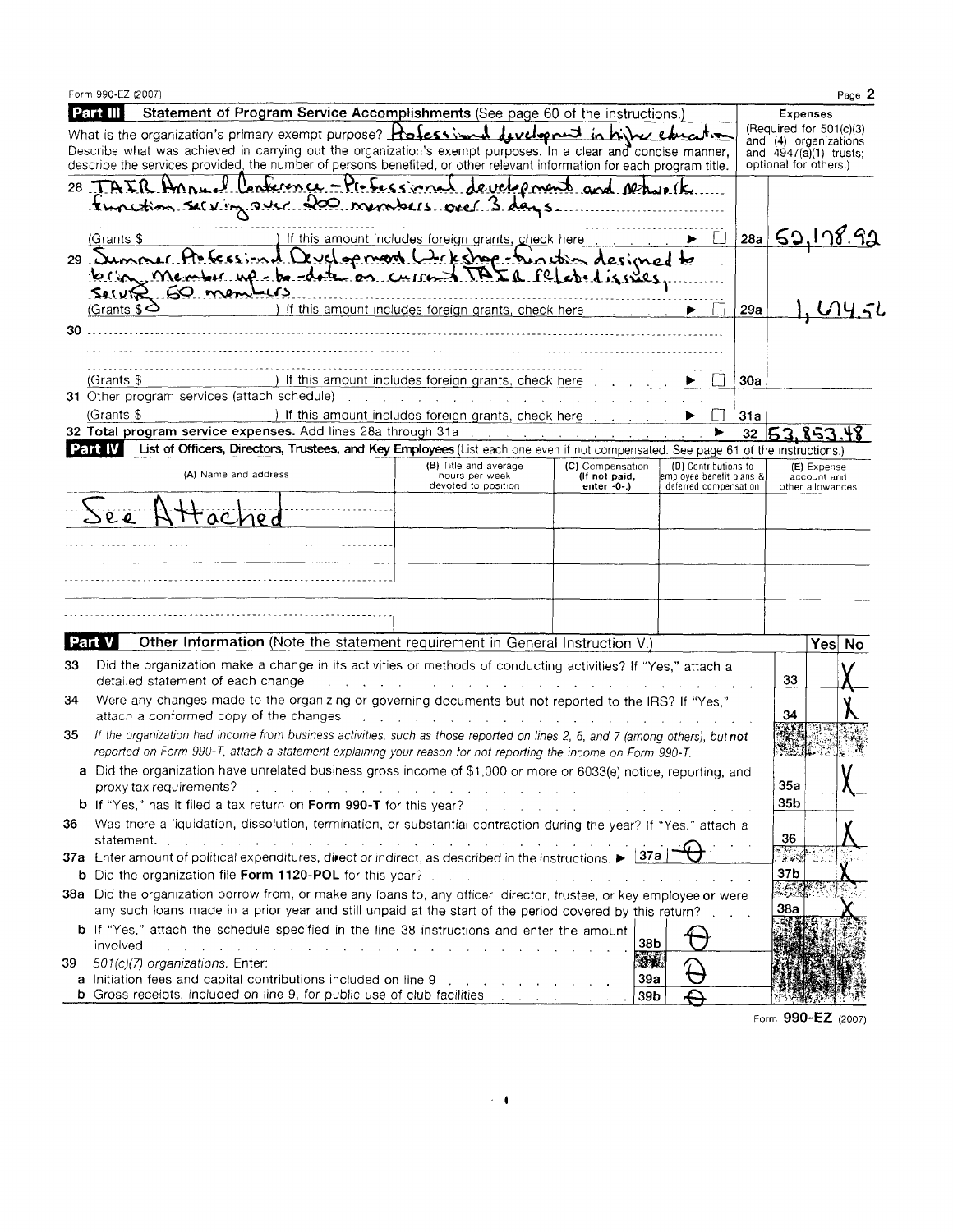|          | Form 990-EZ (2007)                                                                                                                                                                                                                                                                                                                                              |               |                                                                                                                                                                                                                                |                                                                                                                 |                                                  |     | Page 2                                             |  |
|----------|-----------------------------------------------------------------------------------------------------------------------------------------------------------------------------------------------------------------------------------------------------------------------------------------------------------------------------------------------------------------|---------------|--------------------------------------------------------------------------------------------------------------------------------------------------------------------------------------------------------------------------------|-----------------------------------------------------------------------------------------------------------------|--------------------------------------------------|-----|----------------------------------------------------|--|
| Part III |                                                                                                                                                                                                                                                                                                                                                                 |               | Statement of Program Service Accomplishments (See page 60 of the instructions.)                                                                                                                                                |                                                                                                                 |                                                  |     | <b>Expenses</b>                                    |  |
|          | What is the organization's primary exempt purpose? $R$ of $\epsilon s$ in $R$ we degree in hit $\epsilon s$ in the $\epsilon$                                                                                                                                                                                                                                   |               |                                                                                                                                                                                                                                |                                                                                                                 |                                                  |     | (Required for $501(c)(3)$<br>and (4) organizations |  |
|          | Describe what was achieved in carrying out the organization's exempt purposes. In a clear and concise manner,                                                                                                                                                                                                                                                   |               |                                                                                                                                                                                                                                |                                                                                                                 |                                                  |     | and $4947(a)(1)$ trusts;                           |  |
|          | describe the services provided, the number of persons benefited, or other relevant information for each program title.                                                                                                                                                                                                                                          |               |                                                                                                                                                                                                                                |                                                                                                                 |                                                  |     | optional for others.)                              |  |
|          | 28 TAIR HANNE                                                                                                                                                                                                                                                                                                                                                   |               | Conference - Professional development and return k                                                                                                                                                                             |                                                                                                                 |                                                  |     |                                                    |  |
|          | Function serving over 200 members over 3 days.                                                                                                                                                                                                                                                                                                                  |               |                                                                                                                                                                                                                                |                                                                                                                 |                                                  |     |                                                    |  |
|          |                                                                                                                                                                                                                                                                                                                                                                 |               |                                                                                                                                                                                                                                |                                                                                                                 | IJ                                               |     |                                                    |  |
|          | (Grants \$                                                                                                                                                                                                                                                                                                                                                      | evel op moon! | If this amount includes foreign grants, check here<br><u>Lekshop -</u>                                                                                                                                                         | incom designed to                                                                                               |                                                  | 28a | <u>52,178.92</u>                                   |  |
| د. 29    |                                                                                                                                                                                                                                                                                                                                                                 |               |                                                                                                                                                                                                                                |                                                                                                                 |                                                  |     |                                                    |  |
|          | brion, member up be date on<br>$SellV$ $R$ $60$ members                                                                                                                                                                                                                                                                                                         |               |                                                                                                                                                                                                                                | credizines.                                                                                                     |                                                  |     |                                                    |  |
|          | (Grants $\$$ $\triangle$                                                                                                                                                                                                                                                                                                                                        |               | If this amount includes foreign grants, check here                                                                                                                                                                             |                                                                                                                 |                                                  | 29a |                                                    |  |
| 30.      |                                                                                                                                                                                                                                                                                                                                                                 |               |                                                                                                                                                                                                                                |                                                                                                                 |                                                  |     |                                                    |  |
|          |                                                                                                                                                                                                                                                                                                                                                                 |               |                                                                                                                                                                                                                                |                                                                                                                 |                                                  |     |                                                    |  |
|          |                                                                                                                                                                                                                                                                                                                                                                 |               |                                                                                                                                                                                                                                |                                                                                                                 |                                                  |     |                                                    |  |
|          | $(Grants$ \$                                                                                                                                                                                                                                                                                                                                                    |               | If this amount includes foreign grants, check here                                                                                                                                                                             |                                                                                                                 |                                                  | 30a |                                                    |  |
|          | 31 Other program services (attach schedule)                                                                                                                                                                                                                                                                                                                     |               | and the company of the company of the company of the company of the company of the company of the company of the company of the company of the company of the company of the company of the company of the company of the comp |                                                                                                                 |                                                  |     |                                                    |  |
|          | (Grants \$                                                                                                                                                                                                                                                                                                                                                      |               | ) If this amount includes foreign grants, check here contact the contact of the state of the state of the state of the state of the state of the state of the state of the state of the state of the state of the state of the |                                                                                                                 |                                                  | 31a |                                                    |  |
|          | 32 Total program service expenses. Add lines 28a through 31a                                                                                                                                                                                                                                                                                                    |               |                                                                                                                                                                                                                                | and a strategic control of the                                                                                  |                                                  |     | 32 53,853                                          |  |
| Part IV  |                                                                                                                                                                                                                                                                                                                                                                 |               | List of Officers, Directors, Trustees, and Key Employees (List each one even if not compensated. See page 61 of the instructions.)                                                                                             |                                                                                                                 |                                                  |     |                                                    |  |
|          | (A) Name and address                                                                                                                                                                                                                                                                                                                                            |               | (B) Title and average<br>hours per week                                                                                                                                                                                        | (C) Compensation<br>(If not paid,                                                                               | (D) Contributions to<br>employee benefit plans & |     | (E) Expense                                        |  |
|          |                                                                                                                                                                                                                                                                                                                                                                 |               | devoted to position                                                                                                                                                                                                            | enter $-0$ -)                                                                                                   | deferred compensation                            |     | account and<br>other allowances                    |  |
|          | $\sum_{\ell}$                                                                                                                                                                                                                                                                                                                                                   |               |                                                                                                                                                                                                                                |                                                                                                                 |                                                  |     |                                                    |  |
|          |                                                                                                                                                                                                                                                                                                                                                                 |               |                                                                                                                                                                                                                                |                                                                                                                 |                                                  |     |                                                    |  |
|          |                                                                                                                                                                                                                                                                                                                                                                 |               |                                                                                                                                                                                                                                |                                                                                                                 |                                                  |     |                                                    |  |
|          |                                                                                                                                                                                                                                                                                                                                                                 |               |                                                                                                                                                                                                                                |                                                                                                                 |                                                  |     |                                                    |  |
|          |                                                                                                                                                                                                                                                                                                                                                                 |               |                                                                                                                                                                                                                                |                                                                                                                 |                                                  |     |                                                    |  |
|          |                                                                                                                                                                                                                                                                                                                                                                 |               |                                                                                                                                                                                                                                |                                                                                                                 |                                                  |     |                                                    |  |
|          |                                                                                                                                                                                                                                                                                                                                                                 |               |                                                                                                                                                                                                                                |                                                                                                                 |                                                  |     |                                                    |  |
|          |                                                                                                                                                                                                                                                                                                                                                                 |               |                                                                                                                                                                                                                                |                                                                                                                 |                                                  |     |                                                    |  |
| Part V   |                                                                                                                                                                                                                                                                                                                                                                 |               | Other Information (Note the statement requirement in General Instruction V.)                                                                                                                                                   |                                                                                                                 |                                                  |     | Yes No                                             |  |
| 33       | Did the organization make a change in its activities or methods of conducting activities? If "Yes," attach a                                                                                                                                                                                                                                                    |               |                                                                                                                                                                                                                                |                                                                                                                 |                                                  |     |                                                    |  |
|          | detailed statement of each change                                                                                                                                                                                                                                                                                                                               |               |                                                                                                                                                                                                                                |                                                                                                                 |                                                  |     | 33                                                 |  |
| 34       | Were any changes made to the organizing or governing documents but not reported to the IRS? If "Yes,"                                                                                                                                                                                                                                                           |               |                                                                                                                                                                                                                                |                                                                                                                 |                                                  |     |                                                    |  |
|          | attach a conformed copy of the changes                                                                                                                                                                                                                                                                                                                          |               | the contract of the contract of the                                                                                                                                                                                            | and the state of the state of the state of the state of the state of the state of the state of the state of the |                                                  |     | 34                                                 |  |
| 35.      | If the organization had income from business activities, such as those reported on lines 2, 6, and 7 (among others), but not                                                                                                                                                                                                                                    |               |                                                                                                                                                                                                                                |                                                                                                                 |                                                  |     |                                                    |  |
|          | reported on Form 990-T, attach a statement explaining your reason for not reporting the income on Form 990-T.                                                                                                                                                                                                                                                   |               |                                                                                                                                                                                                                                |                                                                                                                 |                                                  |     |                                                    |  |
|          | a Did the organization have unrelated business gross income of \$1,000 or more or 6033(e) notice, reporting, and                                                                                                                                                                                                                                                |               |                                                                                                                                                                                                                                |                                                                                                                 |                                                  |     |                                                    |  |
|          | proxy tax requirements?                                                                                                                                                                                                                                                                                                                                         |               | a construction of the construction of the construction of the construction of the construction of the construction of the construction of the construction of the construction of the construction of the construction of the  |                                                                                                                 |                                                  |     | <b>35a</b><br>35b                                  |  |
|          | <b>b</b> If "Yes," has it filed a tax return on Form 990-T for this year?                                                                                                                                                                                                                                                                                       |               |                                                                                                                                                                                                                                | the contract of the contract of the contract of the contract of the contract of                                 |                                                  |     |                                                    |  |
| 36       | Was there a liquidation, dissolution, termination, or substantial contraction during the year? If "Yes," attach a                                                                                                                                                                                                                                               |               |                                                                                                                                                                                                                                |                                                                                                                 |                                                  |     | 36                                                 |  |
|          | statement. The contract of the contract of the contract of the contract of the contract of the contract of the contract of the contract of the contract of the contract of the contract of the contract of the contract of the<br>37a Enter amount of political expenditures, direct or indirect, as described in the instructions. $\blacktriangleright$ [37a] |               |                                                                                                                                                                                                                                |                                                                                                                 |                                                  |     |                                                    |  |
|          | b Did the organization file Form 1120-POL for this year? The substitution of the contract of the contract of the                                                                                                                                                                                                                                                |               |                                                                                                                                                                                                                                |                                                                                                                 |                                                  |     | 37b                                                |  |
|          |                                                                                                                                                                                                                                                                                                                                                                 |               |                                                                                                                                                                                                                                |                                                                                                                 |                                                  |     | 动成色                                                |  |
|          | 38a Did the organization borrow from, or make any loans to, any officer, director, trustee, or key employee or were<br>any such loans made in a prior year and still unpaid at the start of the period covered by this return?.                                                                                                                                 |               |                                                                                                                                                                                                                                |                                                                                                                 |                                                  |     | 38а                                                |  |
|          |                                                                                                                                                                                                                                                                                                                                                                 |               |                                                                                                                                                                                                                                |                                                                                                                 |                                                  |     |                                                    |  |
|          | b If "Yes," attach the schedule specified in the line 38 instructions and enter the amount<br>involved                                                                                                                                                                                                                                                          |               |                                                                                                                                                                                                                                | 38b                                                                                                             |                                                  |     |                                                    |  |
|          | 501(c)(7) organizations. Enter:                                                                                                                                                                                                                                                                                                                                 |               | المواطن والمواطن والمواطن والمواطن والمواطن والمواطن والمواطن والمواطن والمواطن والمواطن                                                                                                                                       | ÷.                                                                                                              |                                                  |     |                                                    |  |
| 39       | a Initiation fees and capital contributions included on line 9                                                                                                                                                                                                                                                                                                  |               |                                                                                                                                                                                                                                | 39a                                                                                                             |                                                  |     |                                                    |  |
|          | <b>b</b> Gross receipts, included on line 9, for public use of club facilities containing the containing of the containing of the containing of the containing of the containing of the containing of the containing of the contain                                                                                                                             |               |                                                                                                                                                                                                                                | 39 <sub>b</sub>                                                                                                 |                                                  |     |                                                    |  |
|          |                                                                                                                                                                                                                                                                                                                                                                 |               |                                                                                                                                                                                                                                |                                                                                                                 |                                                  |     |                                                    |  |

Form 990-EZ (2007)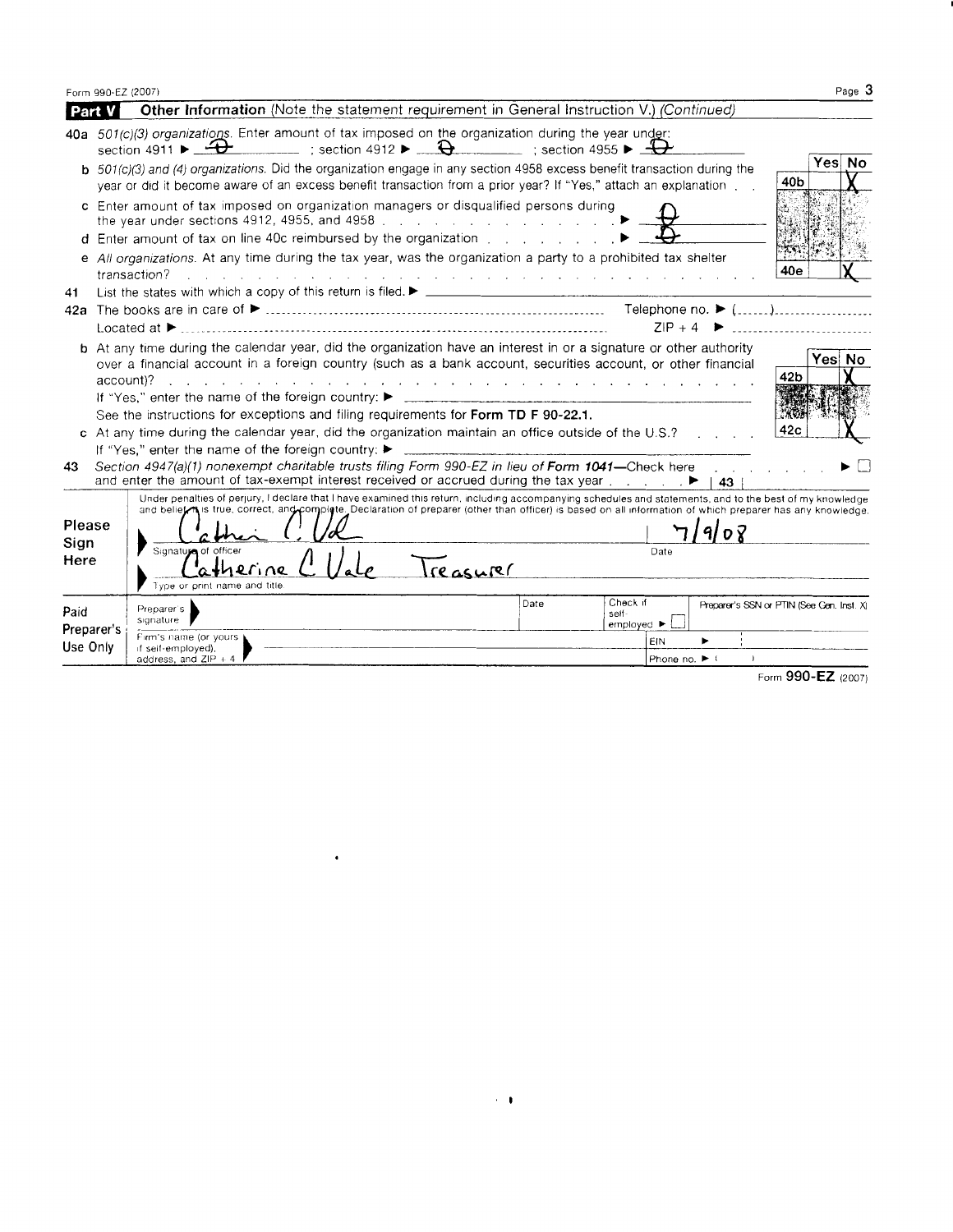Form 990-EZ (2007)  $Page$  3

| Part V                                                                                                                                                                                                                                                                                                                                                                                                                                                                                                                |                                                                                                                                                                                                                                                                                                                         | <b>Other Information</b> (Note the statement requirement in General Instruction V.) (Continued)                                                                                                                                                                                                                                                                                          |           |                     |               |                                          |                                           |  |  |
|-----------------------------------------------------------------------------------------------------------------------------------------------------------------------------------------------------------------------------------------------------------------------------------------------------------------------------------------------------------------------------------------------------------------------------------------------------------------------------------------------------------------------|-------------------------------------------------------------------------------------------------------------------------------------------------------------------------------------------------------------------------------------------------------------------------------------------------------------------------|------------------------------------------------------------------------------------------------------------------------------------------------------------------------------------------------------------------------------------------------------------------------------------------------------------------------------------------------------------------------------------------|-----------|---------------------|---------------|------------------------------------------|-------------------------------------------|--|--|
|                                                                                                                                                                                                                                                                                                                                                                                                                                                                                                                       |                                                                                                                                                                                                                                                                                                                         | 40a 501(c)(3) organizations. Enter amount of tax imposed on the organization during the year under:<br>section 4911 $\triangleright$ $\rightarrow$ $\rightarrow$ $\rightarrow$ section 4912 $\triangleright$ $\rightarrow$ $\rightarrow$ section 4955 $\triangleright$ $\rightarrow$                                                                                                     |           |                     |               |                                          |                                           |  |  |
|                                                                                                                                                                                                                                                                                                                                                                                                                                                                                                                       |                                                                                                                                                                                                                                                                                                                         | $b$ 501(c)(3) and (4) organizations. Did the organization engage in any section 4958 excess benefit transaction during the<br>year or did it become aware of an excess benefit transaction from a prior year? If "Yes," attach an explanation                                                                                                                                            |           |                     |               |                                          | Yes No<br>40 <sub>b</sub>                 |  |  |
|                                                                                                                                                                                                                                                                                                                                                                                                                                                                                                                       | c Enter amount of tax imposed on organization managers or disqualified persons during<br>the year under sections 4912, 4955, and 4958 [11] [12] Allen Lange Lange and Agent Agent Agent Agent Agent Agent Agent Agent Agent Agent Agent Agent Agent Agent Agent Agent Agent Agent Agent Agent Agent Agent Agent Agent A |                                                                                                                                                                                                                                                                                                                                                                                          |           |                     |               |                                          |                                           |  |  |
|                                                                                                                                                                                                                                                                                                                                                                                                                                                                                                                       |                                                                                                                                                                                                                                                                                                                         | d Enter amount of tax on line 40c reimbursed by the organization [betall contact state state state state state state state state state state state state state state state state state state state state state state state st                                                                                                                                                            |           |                     |               |                                          |                                           |  |  |
|                                                                                                                                                                                                                                                                                                                                                                                                                                                                                                                       | e All organizations. At any time during the tax year, was the organization a party to a prohibited tax shelter<br>40e<br>transaction?<br>and the contract of the contract of the contract of the contract of the contract of the contract of the contract of                                                            |                                                                                                                                                                                                                                                                                                                                                                                          |           |                     |               |                                          |                                           |  |  |
| 41                                                                                                                                                                                                                                                                                                                                                                                                                                                                                                                    |                                                                                                                                                                                                                                                                                                                         |                                                                                                                                                                                                                                                                                                                                                                                          |           |                     |               |                                          |                                           |  |  |
|                                                                                                                                                                                                                                                                                                                                                                                                                                                                                                                       |                                                                                                                                                                                                                                                                                                                         |                                                                                                                                                                                                                                                                                                                                                                                          |           |                     |               |                                          |                                           |  |  |
|                                                                                                                                                                                                                                                                                                                                                                                                                                                                                                                       |                                                                                                                                                                                                                                                                                                                         | Located at $\blacktriangleright$                                                                                                                                                                                                                                                                                                                                                         |           |                     |               |                                          | $ZIP + 4$                                 |  |  |
| <b>b</b> At any time during the calendar year, did the organization have an interest in or a signature or other authority<br>Yes No<br>over a financial account in a foreign country (such as a bank account, securities account, or other financial<br>42 <sub>b</sub><br>account)?<br>and a construction of the construction of the construction of the construction of the construction of the construction of the construction of the construction of the construction of the construction of the construction of |                                                                                                                                                                                                                                                                                                                         |                                                                                                                                                                                                                                                                                                                                                                                          |           |                     |               |                                          |                                           |  |  |
|                                                                                                                                                                                                                                                                                                                                                                                                                                                                                                                       |                                                                                                                                                                                                                                                                                                                         | If "Yes," enter the name of the foreign country: ▶                                                                                                                                                                                                                                                                                                                                       |           |                     |               |                                          |                                           |  |  |
|                                                                                                                                                                                                                                                                                                                                                                                                                                                                                                                       |                                                                                                                                                                                                                                                                                                                         | $2869 +$<br>See the instructions for exceptions and filing requirements for Form TD F 90-22.1.<br>42 <sub>c</sub><br>c At any time during the calendar year, did the organization maintain an office outside of the $U.S.$ ?                                                                                                                                                             |           |                     |               |                                          |                                           |  |  |
|                                                                                                                                                                                                                                                                                                                                                                                                                                                                                                                       |                                                                                                                                                                                                                                                                                                                         |                                                                                                                                                                                                                                                                                                                                                                                          |           |                     |               |                                          |                                           |  |  |
|                                                                                                                                                                                                                                                                                                                                                                                                                                                                                                                       |                                                                                                                                                                                                                                                                                                                         | If "Yes." enter the name of the foreign country: $\blacktriangleright$<br>Section 4947(a)(1) nonexempt charitable trusts filing Form 990-EZ in lieu of Form 1041-Check here                                                                                                                                                                                                              |           |                     |               |                                          |                                           |  |  |
| 43                                                                                                                                                                                                                                                                                                                                                                                                                                                                                                                    |                                                                                                                                                                                                                                                                                                                         | and enter the amount of tax-exempt interest received or accrued during the tax year $\ldots$ ,                                                                                                                                                                                                                                                                                           |           |                     |               | <b>Contract Contract Contract</b><br>43. |                                           |  |  |
| Please<br>Sign<br>Here                                                                                                                                                                                                                                                                                                                                                                                                                                                                                                |                                                                                                                                                                                                                                                                                                                         | Under penalties of perjury, I declare that I have examined this return, including accompanying schedules and statements, and to the best of my knowledge<br>and belief is true, correct, and complete. Declaration of preparer (other than officer) is based on all information of which preparer has any knowledge.<br>Signature of officer<br>atherine<br>Type or print name and title | Treasurer |                     | Date          | 908                                      |                                           |  |  |
|                                                                                                                                                                                                                                                                                                                                                                                                                                                                                                                       |                                                                                                                                                                                                                                                                                                                         |                                                                                                                                                                                                                                                                                                                                                                                          | Date      | Check if            |               |                                          | Preparer's SSN or PTIN (See Gen. Inst. X) |  |  |
| Paid                                                                                                                                                                                                                                                                                                                                                                                                                                                                                                                  |                                                                                                                                                                                                                                                                                                                         | Preparer's<br>signature                                                                                                                                                                                                                                                                                                                                                                  |           | self-<br>employed ▶ |               |                                          |                                           |  |  |
| Use Only                                                                                                                                                                                                                                                                                                                                                                                                                                                                                                              | Preparer's                                                                                                                                                                                                                                                                                                              | Firm's name (or yours )<br>if self-employed),                                                                                                                                                                                                                                                                                                                                            |           |                     | EIN           |                                          |                                           |  |  |
|                                                                                                                                                                                                                                                                                                                                                                                                                                                                                                                       |                                                                                                                                                                                                                                                                                                                         | address, and ZIP + 4                                                                                                                                                                                                                                                                                                                                                                     |           |                     | Phone no. ▶ ( |                                          |                                           |  |  |
|                                                                                                                                                                                                                                                                                                                                                                                                                                                                                                                       |                                                                                                                                                                                                                                                                                                                         |                                                                                                                                                                                                                                                                                                                                                                                          |           |                     |               |                                          | Form 990-EZ (2007)                        |  |  |

 $\sim 1$ 

 $\langle \bullet \rangle$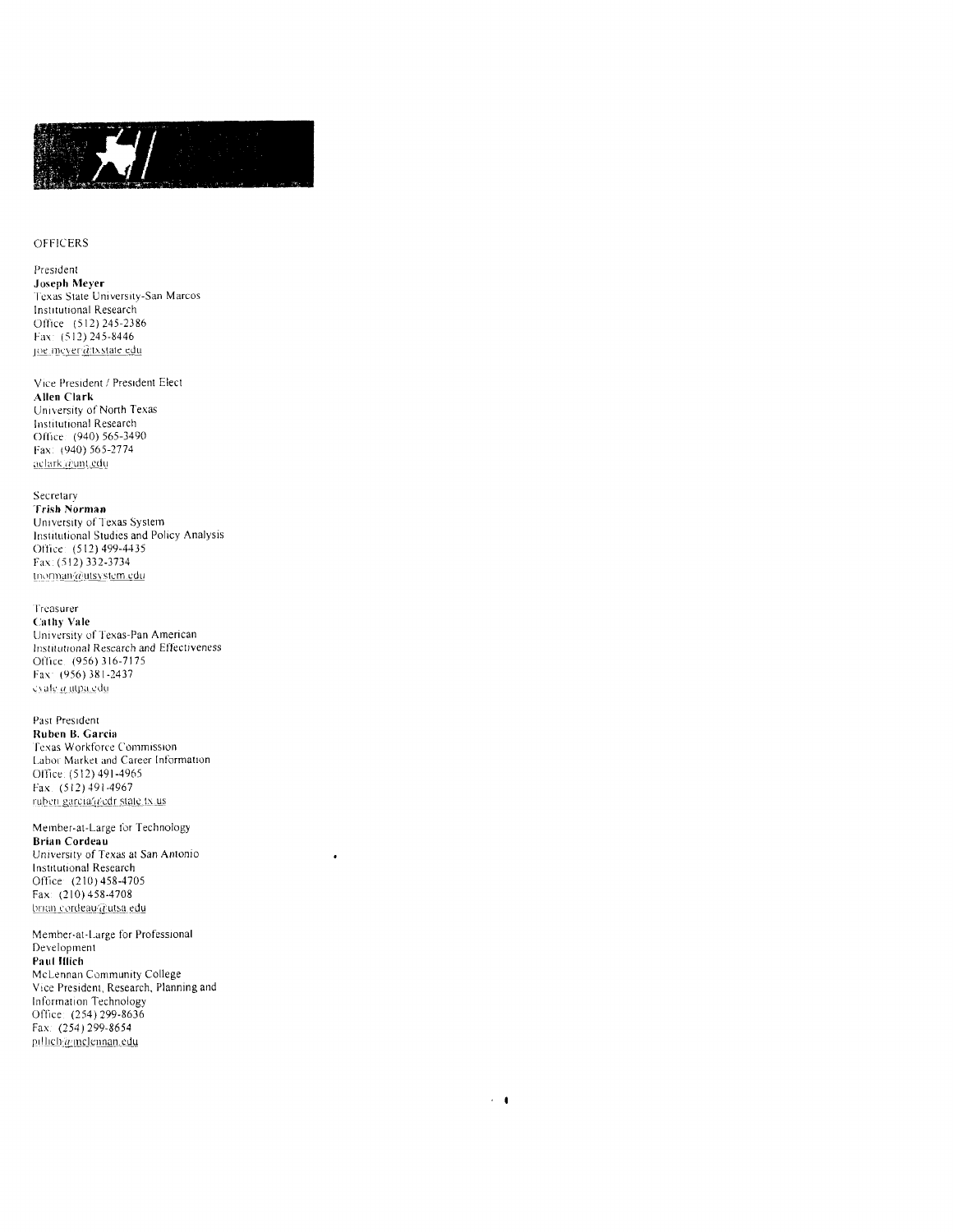

#### **OFFICERS**

President Joseph Meyer Texas State University-San Marcos Institutional Research Office (512) 245-2386 Fax: (512) 245-8446 joe.mcyer@txstate.edu

Vice President / President Elect Allen Clark University of North Texas Institutional Research Office: (940) 565-3490 Fax: (940) 565-2774 aclark @unt.edu

Secretary Trish Norman University of Texas System Institutional Studies and Policy Analysis Office: (512) 499-4435 Fax: (512) 332-3734 tnorman@utsystem.edu

Treasurer **Cathy Vale** University of Texas-Pan American Institutional Research and Effectiveness Office. (956) 316-7175 Fax: (956) 381-2437 cyale a utpa.edu

Past President Ruben B. Garcia Texas Workforce Commission Labor Market and Career Information Office: (512) 491-4965 Fax. (512) 491-4967 ruben garcia@edr state tx.us

Member-at-Large for Technology Brian Cordeau University of Texas at San Antonio Institutional Research Office (210) 458-4705 Fax: (210) 458-4708 brian cordeau@utsa.edu

 $\cdot$ 

 $\epsilon=0$ 

Member-at-Large for Professional Development Paul Illich McLennan Community College Vice President, Research, Planning and Information Technology Office: (254) 299-8636 Fax: (254) 299-8654 pillich@mclennan.edu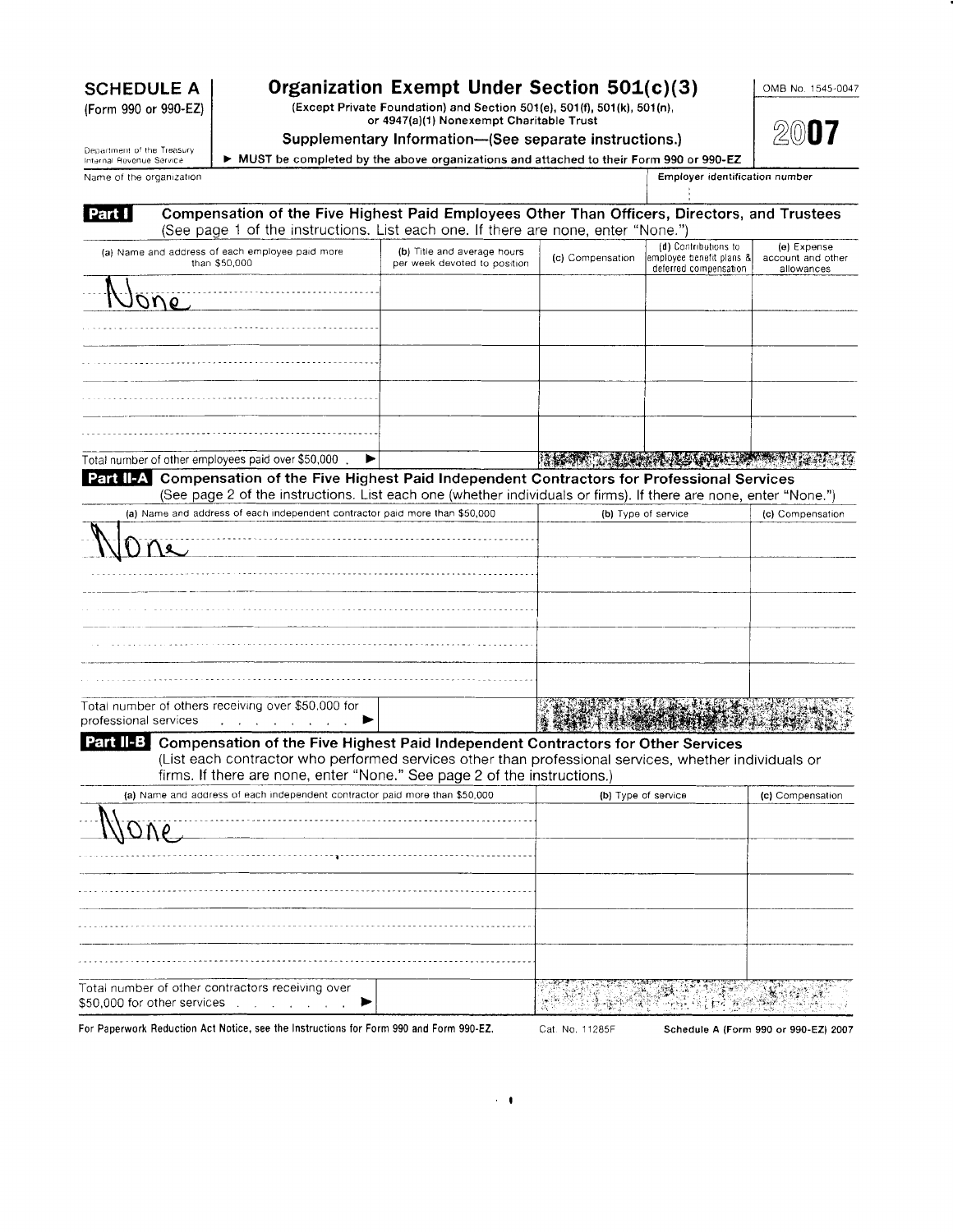# **SCHEDULE A**

(Form 990 or 990-EZ)

Name of the organization

Organization Exempt Under Section 501(c)(3)<br>(Except Private Foundation) and Section 501(e), 501(f), 501(k), 501(n),<br>or 4947(a)(1) Nonexempt Charitable Trust

### Supplementary Information-Gee separate instructions.)

OMB No. 1545-0047

2007

Department of the Treasury<br>Internal Revenue Service > MUST be completed by the above organizations and attached to their Form 990 or 990-EZ

Employer identification number

| Compensation of the Five Highest Paid Employees Other Than Officers, Directors, and Trustees<br>(See page 1 of the instructions. List each one. If there are none, enter "None.")                                                                                                      |                                                             |                  |                                                                           |                                                |
|----------------------------------------------------------------------------------------------------------------------------------------------------------------------------------------------------------------------------------------------------------------------------------------|-------------------------------------------------------------|------------------|---------------------------------------------------------------------------|------------------------------------------------|
| (a) Name and address of each employee paid more<br>than \$50,000                                                                                                                                                                                                                       | (b) Title and average hours<br>per week devoted to position | (c) Compensation | (d) Contributions to<br>employee benefit plans &<br>deferred compensation | (e) Expense<br>account and other<br>allowances |
| 970                                                                                                                                                                                                                                                                                    |                                                             |                  |                                                                           |                                                |
|                                                                                                                                                                                                                                                                                        |                                                             |                  |                                                                           |                                                |
|                                                                                                                                                                                                                                                                                        |                                                             |                  |                                                                           |                                                |
|                                                                                                                                                                                                                                                                                        |                                                             |                  |                                                                           |                                                |
|                                                                                                                                                                                                                                                                                        |                                                             |                  |                                                                           |                                                |
|                                                                                                                                                                                                                                                                                        |                                                             |                  |                                                                           |                                                |
| Total number of other employees paid over \$50,000.<br>▶<br>Part II-A Compensation of the Five Highest Paid Independent Contractors for Professional Services                                                                                                                          |                                                             |                  | PARA TELEVISIONE DE L'ANGUERITI DE L'ANGUERIT                             |                                                |
| (See page 2 of the instructions. List each one (whether individuals or firms). If there are none, enter "None.")                                                                                                                                                                       |                                                             |                  |                                                                           |                                                |
| (a) Name and address of each independent contractor paid more than \$50,000                                                                                                                                                                                                            |                                                             |                  | (b) Type of service                                                       | (c) Compensation                               |
| Total number of others receiving over \$50,000 for<br>professional services<br>$\mathbf{r}$ and $\mathbf{r}$ and $\mathbf{r}$ and $\mathbf{r}$                                                                                                                                         |                                                             |                  |                                                                           |                                                |
| <b>Part II-B</b> Compensation of the Five Highest Paid Independent Contractors for Other Services<br>(List each contractor who performed services other than professional services, whether individuals or<br>firms. If there are none, enter "None." See page 2 of the instructions.) |                                                             |                  |                                                                           |                                                |
| (a) Name and address of each independent contractor paid more than \$50,000                                                                                                                                                                                                            |                                                             |                  | (b) Type of service                                                       | (c) Compensation                               |
|                                                                                                                                                                                                                                                                                        |                                                             |                  |                                                                           |                                                |
|                                                                                                                                                                                                                                                                                        |                                                             |                  |                                                                           |                                                |
|                                                                                                                                                                                                                                                                                        |                                                             |                  |                                                                           |                                                |
|                                                                                                                                                                                                                                                                                        |                                                             |                  |                                                                           |                                                |
|                                                                                                                                                                                                                                                                                        |                                                             |                  |                                                                           |                                                |
| Total number of other contractors receiving over<br>\$50,000 for other services $\sqrt{2}$                                                                                                                                                                                             |                                                             |                  |                                                                           |                                                |
| For Paperwork Reduction Act Notice, see the Instructions for Form 990 and Form 990-EZ.                                                                                                                                                                                                 |                                                             | Cat. No. 11285F  |                                                                           | Schedule A (Form 990 or 990-EZ) 2007           |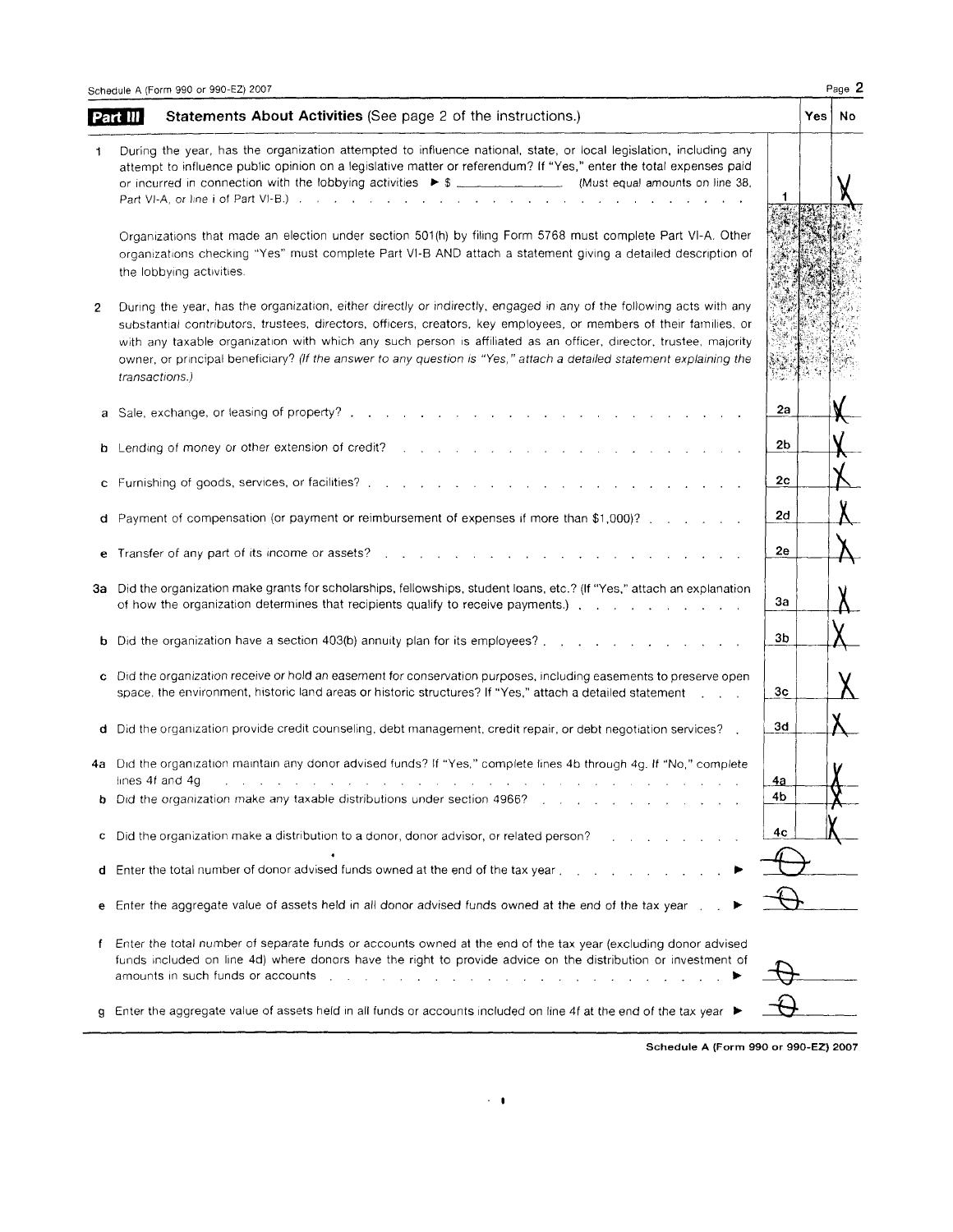|    | Statements About Activities (See page 2 of the instructions.)<br>Part III                                                                                                                                                                                                                                                                                                                                                                                                                                |                 | Yes | No |
|----|----------------------------------------------------------------------------------------------------------------------------------------------------------------------------------------------------------------------------------------------------------------------------------------------------------------------------------------------------------------------------------------------------------------------------------------------------------------------------------------------------------|-----------------|-----|----|
|    | During the year, has the organization attempted to influence national, state, or local legislation, including any<br>attempt to influence public opinion on a legislative matter or referendum? If "Yes," enter the total expenses paid<br>Part VI-A, or line i of Part VI-B.) $\ldots$ $\ldots$ $\ldots$ $\ldots$ $\ldots$                                                                                                                                                                              |                 |     |    |
|    | Organizations that made an election under section 501(h) by filing Form 5768 must complete Part VI-A. Other<br>organizations checking "Yes" must complete Part VI-B AND attach a statement giving a detailed description of<br>the lobbying activities.                                                                                                                                                                                                                                                  |                 |     |    |
| 2  | During the year, has the organization, either directly or indirectly, engaged in any of the following acts with any<br>substantial contributors, trustees, directors, officers, creators, key employees, or members of their families, or<br>with any taxable organization with which any such person is affiliated as an officer, director, trustee, majority<br>owner, or principal beneficiary? (If the answer to any question is "Yes," attach a detailed statement explaining the<br>transactions.) |                 |     |    |
|    | a Sale, exchange, or leasing of property?.                                                                                                                                                                                                                                                                                                                                                                                                                                                               | 2a              |     |    |
|    | <b>b</b> Lending of money or other extension of credit?                                                                                                                                                                                                                                                                                                                                                                                                                                                  | 2b              |     |    |
|    | c Furnishing of goods, services, or facilities?.<br>the contract of the contract of the contract of the contract of the contract of the contract of the contract of                                                                                                                                                                                                                                                                                                                                      | 2 <sub>c</sub>  |     |    |
|    | d Payment of compensation (or payment or reimbursement of expenses if more than \$1,000)? $\ldots$                                                                                                                                                                                                                                                                                                                                                                                                       | 2d              |     |    |
| е  | Transfer of any part of its income or assets?                                                                                                                                                                                                                                                                                                                                                                                                                                                            | 2e              |     |    |
| За | Did the organization make grants for scholarships, fellowships, student loans, etc.? (If "Yes," attach an explanation<br>of how the organization determines that recipients qualify to receive payments.) The contract of the contract of how the contract of how the contract of how the contract of how the contract of how the contract of how the c                                                                                                                                                  | 3a              |     |    |
|    | b Did the organization have a section 403(b) annuity plan for its employees?.<br>$\mathbf{r}$ and $\mathbf{r}$ and $\mathbf{r}$ and $\mathbf{r}$ and $\mathbf{r}$                                                                                                                                                                                                                                                                                                                                        | 3b              |     |    |
|    | c Did the organization receive or hold an easement for conservation purposes, including easements to preserve open<br>space, the environment, historic land areas or historic structures? If "Yes," attach a detailed statement [1, 1, 1],                                                                                                                                                                                                                                                               | 3 <sub>c</sub>  |     |    |
|    | d Did the organization provide credit counseling, debt management, credit repair, or debt negotiation services?                                                                                                                                                                                                                                                                                                                                                                                          | 3d              |     |    |
|    | 4a Did the organization maintain any donor advised funds? If "Yes," complete lines 4b through 4g. If "No," complete<br>lines 4f and 4g<br>and the company of the company of<br>the contract of the contract of the<br><b>b</b> Did the organization make any taxable distributions under section 4966?                                                                                                                                                                                                   | <u>4a</u><br>4b |     |    |
|    | c Did the organization make a distribution to a donor, donor advisor, or related person?                                                                                                                                                                                                                                                                                                                                                                                                                 | 4с              |     |    |
| d  | Enter the total number of donor advised funds owned at the end of the tax year.                                                                                                                                                                                                                                                                                                                                                                                                                          |                 |     |    |
| е  | Enter the aggregate value of assets held in all donor advised funds owned at the end of the tax year.                                                                                                                                                                                                                                                                                                                                                                                                    |                 |     |    |
| f. | Enter the total number of separate funds or accounts owned at the end of the tax year (excluding donor advised<br>funds included on line 4d) where donors have the right to provide advice on the distribution or investment of<br>amounts in such funds or accounts and a subset of the subset of the subset of the subset of the subset of the subset of the subset of the subset of the subset of the subset of the subset of the subset of the subset of the                                         |                 |     |    |
| g. | Enter the aggregate value of assets held in all funds or accounts included on line 4f at the end of the tax year ▶                                                                                                                                                                                                                                                                                                                                                                                       |                 |     |    |

Schedule A (Form 99O or 99O-EZ) 2OO7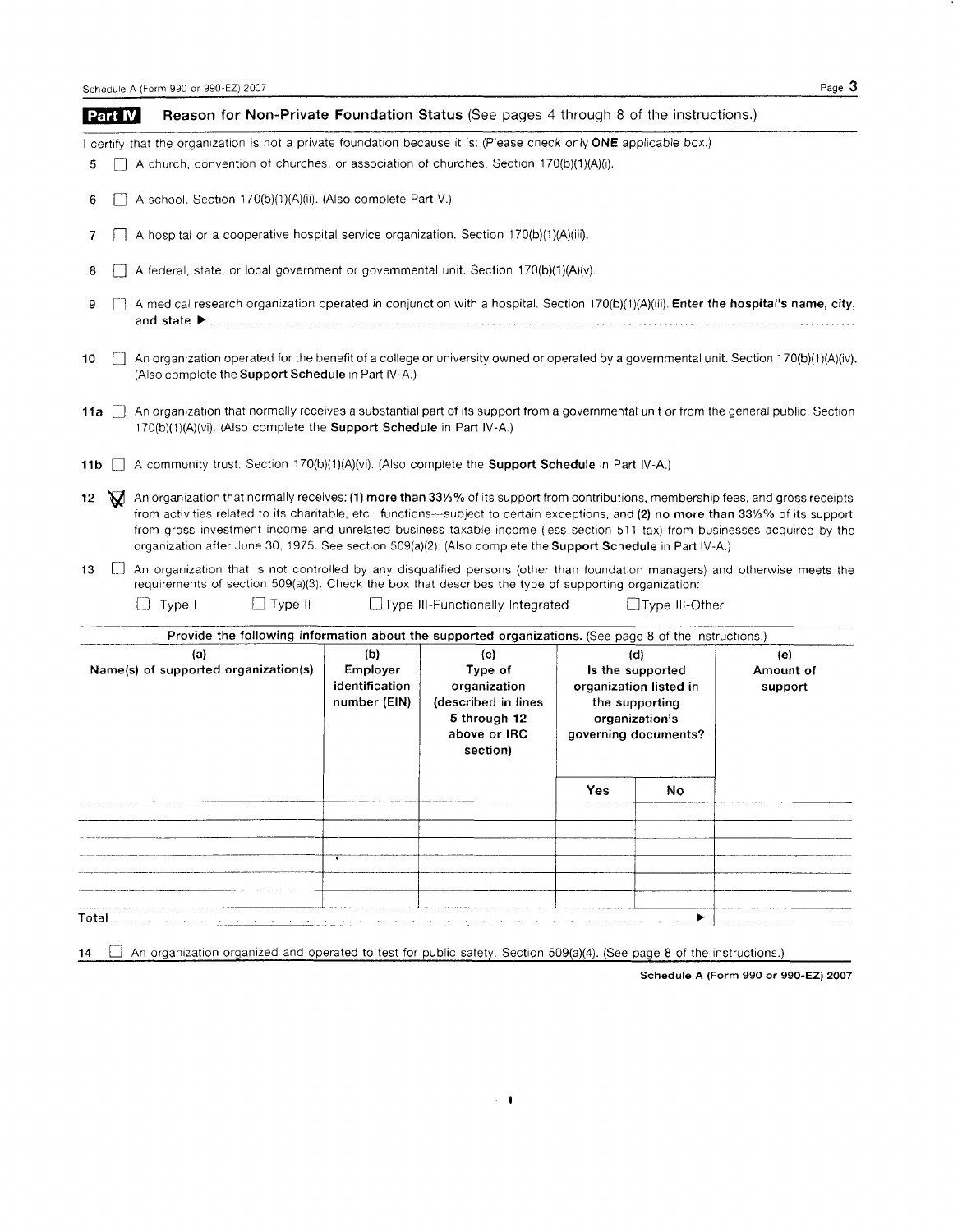I certify that the organization is not a private foundation because it is: (Please check only ONE applicable box.)

- $5$  | A church, convention of churches, or association of churches. Section 170(b)(1)(A)(i).
- $\Box$  A school. Section 170(b)(1)(A)(ii). (Also complete Part V.) 6
- $\Box$  A hospital or a cooperative hospital service organization. Section 170(b)(1)(A)(iii).  $\overline{7}$
- $\Box$  A federal, state, or local government or governmental unit. Section 170(b)(1)(A)(v). 8
- $\Box$  A medical research organization operated in conjunction with a hospital. Section 170(b)(1)(A)(iii). Enter the hospital's name, city, 9 and state )
- An organization operated for the benefit of a college or university owned or operated by a governmental unit. Section 170(b)(1)(A)(iv). (Also complete the Support Schedule in Part lV-A.) 10
- 11a  $\Box$  An organization that normally receives a substantial part of its support from a governmental unit or from the general public. Section 170(b)(1)(A)(vi). (Also complete the Support Schedule in Part IV-A.)
- 11b  $\Box$  A community trust. Section 170(b)(1)(A)(vi). (Also complete the **Support Schedule** in Part IV-A.)
- 12 An organization that normally receives: (1) more than 33%% of its support from contributions, membership fees, and gross receipts<br>from activities related to its charitable, etc., functions—subject to certain exceptions, an from activities related to its charitable, etc., functions-subject to certain exceptions, and (2) no more than 331/<sub>2</sub>% of its support from gross investment Income and unrelated business taxable income (less section 511 tax) from businesses acquired by the organization after June 30, 1975. See section 509(a)(2). (Also complete the Support Schedule in Part IV-A.)
- 13 [C] An organization that is not controlled by any disqualified persons (other than foundation managers) and otherwise meets the requirements of section 509(a)(3). Check the box that describes the type of supporting organization:

 $\Box$  Type I  $\Box$  Type II  $\Box$  Type III-Functionally Integrated  $\Box$  Type III-Other

| (a)<br>Name(s) of supported organization(s) | Provide the following information about the supported organizations. (See page 8 of the instructions.)<br>(c)<br>(b)<br>Employer<br>Type of<br>identification<br>organization<br>number (EIN)<br>(described in lines<br>5 through 12<br>above or IRC<br>section) |  | (d)<br>Is the supported<br>organization listed in<br>the supporting<br>organization's<br>governing documents? | (e)<br>Amount of<br>support |  |
|---------------------------------------------|------------------------------------------------------------------------------------------------------------------------------------------------------------------------------------------------------------------------------------------------------------------|--|---------------------------------------------------------------------------------------------------------------|-----------------------------|--|
|                                             |                                                                                                                                                                                                                                                                  |  | <b>Yes</b>                                                                                                    | No                          |  |
|                                             |                                                                                                                                                                                                                                                                  |  |                                                                                                               |                             |  |
|                                             | $\cdot$                                                                                                                                                                                                                                                          |  |                                                                                                               |                             |  |
|                                             |                                                                                                                                                                                                                                                                  |  |                                                                                                               |                             |  |
|                                             |                                                                                                                                                                                                                                                                  |  |                                                                                                               |                             |  |

14  $\Box$  An organization organized and operated to test for public safety. Section 509(a)(4). (See page 8 of the instructions.)

 $\sim$  10

Schedule A (Form 99O or 99O-EZ) 2OO7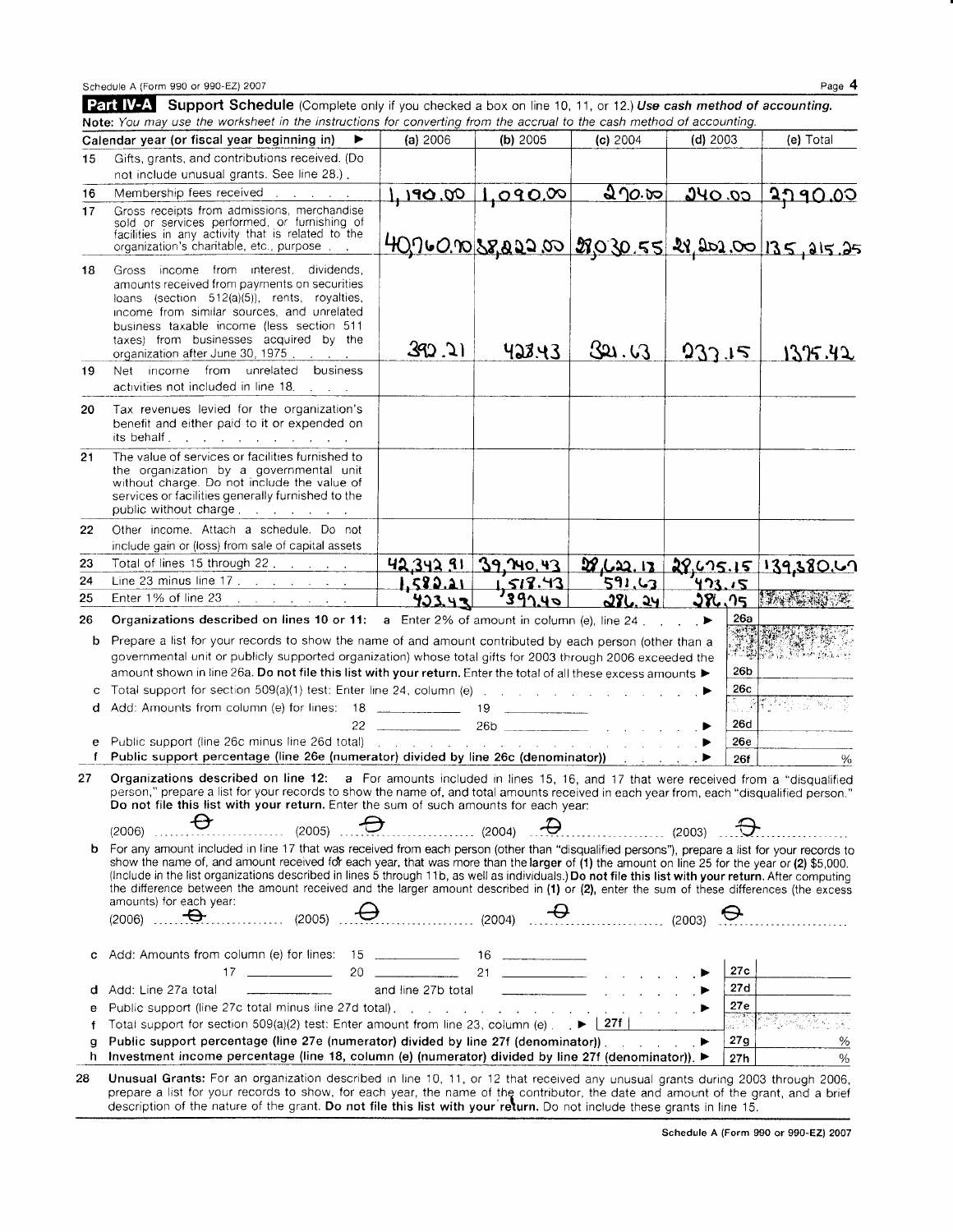|    | Schedule A (Form 990 or 990-EZ) 2007                                                                                                                                                                                                                                                                                                                                                                                                                                                                                                                                                                                                                                                                                                                                                           |                                                     |                                                 |                                   |                 |                       | Page 4                                    |
|----|------------------------------------------------------------------------------------------------------------------------------------------------------------------------------------------------------------------------------------------------------------------------------------------------------------------------------------------------------------------------------------------------------------------------------------------------------------------------------------------------------------------------------------------------------------------------------------------------------------------------------------------------------------------------------------------------------------------------------------------------------------------------------------------------|-----------------------------------------------------|-------------------------------------------------|-----------------------------------|-----------------|-----------------------|-------------------------------------------|
|    | Part IV-A Support Schedule (Complete only if you checked a box on line 10, 11, or 12.) Use cash method of accounting.<br>Note: You may use the worksheet in the instructions for converting from the accrual to the cash method of accounting.                                                                                                                                                                                                                                                                                                                                                                                                                                                                                                                                                 |                                                     |                                                 |                                   |                 |                       |                                           |
|    | Calendar year (or fiscal year beginning in)                                                                                                                                                                                                                                                                                                                                                                                                                                                                                                                                                                                                                                                                                                                                                    | (a) 2006                                            | (b) 2005                                        | (c) 2004                          | (d) 2003        |                       | (e) Total                                 |
| 15 | Gifts, grants, and contributions received. (Do                                                                                                                                                                                                                                                                                                                                                                                                                                                                                                                                                                                                                                                                                                                                                 |                                                     |                                                 |                                   |                 |                       |                                           |
|    | not include unusual grants. See line 28.).                                                                                                                                                                                                                                                                                                                                                                                                                                                                                                                                                                                                                                                                                                                                                     |                                                     |                                                 |                                   |                 |                       |                                           |
| 16 | Membership fees received                                                                                                                                                                                                                                                                                                                                                                                                                                                                                                                                                                                                                                                                                                                                                                       |                                                     |                                                 |                                   |                 |                       | $1,190.00$ 1,090.00 270.00 240.00 2790.00 |
| 17 | Gross receipts from admissions, merchandise<br>sold or services performed, or furnishing of<br>facilities in any activity that is related to the<br>organization's charitable, etc., purpose.                                                                                                                                                                                                                                                                                                                                                                                                                                                                                                                                                                                                  | $409$ 60.00 58,022 00 29030.55 28,202.00 135,215,25 |                                                 |                                   |                 |                       |                                           |
| 18 | Gross income from interest, dividends,<br>amounts received from payments on securities<br>loans (section 512(a)(5)), rents, royalties,<br>income from similar sources, and unrelated<br>business taxable income (less section 511<br>taxes) from businesses acquired by the<br>organization after June 30, 1975.<br>$\mathbf{r}$ , $\mathbf{r}$ , $\mathbf{r}$ , $\mathbf{r}$                                                                                                                                                                                                                                                                                                                                                                                                                  | 392.21                                              | 428.43                                          | 321. UT                           | 932.15          |                       | 1375.42                                   |
| 19 | Net income from unrelated<br>business<br>activities not included in line 18.                                                                                                                                                                                                                                                                                                                                                                                                                                                                                                                                                                                                                                                                                                                   |                                                     |                                                 |                                   |                 |                       |                                           |
| 20 | Tax revenues levied for the organization's<br>benefit and either paid to it or expended on<br>its behalf $\ldots$ $\ldots$ $\ldots$ $\ldots$ $\ldots$ $\ldots$                                                                                                                                                                                                                                                                                                                                                                                                                                                                                                                                                                                                                                 |                                                     |                                                 |                                   |                 |                       |                                           |
| 21 | The value of services or facilities furnished to<br>the organization by a governmental unit<br>without charge. Do not include the value of<br>services or facilities generally furnished to the<br>public without charge                                                                                                                                                                                                                                                                                                                                                                                                                                                                                                                                                                       |                                                     |                                                 |                                   |                 |                       |                                           |
| 22 | Other income. Attach a schedule. Do not<br>include gain or (loss) from sale of capital assets                                                                                                                                                                                                                                                                                                                                                                                                                                                                                                                                                                                                                                                                                                  |                                                     |                                                 |                                   |                 |                       |                                           |
| 23 | Total of lines 15 through 22.                                                                                                                                                                                                                                                                                                                                                                                                                                                                                                                                                                                                                                                                                                                                                                  |                                                     | 42.342.91 39,740.43                             |                                   |                 |                       | 28, 62, 13, 29, 625, 15, 139, 380, 62     |
| 24 |                                                                                                                                                                                                                                                                                                                                                                                                                                                                                                                                                                                                                                                                                                                                                                                                |                                                     | 1513.43                                         | 591,63                            | <u>473.15</u>   |                       |                                           |
| 25 | Enter 1% of line 23<br>$\mathcal{L}^{\mathcal{L}}$ , and the set of the set of the set of the $\mathcal{L}^{\mathcal{L}}$                                                                                                                                                                                                                                                                                                                                                                                                                                                                                                                                                                                                                                                                      | 423.42                                              | 397.40                                          | 286.24                            | 386.75          |                       | 13A ALAN                                  |
| 26 | Organizations described on lines 10 or 11: a Enter 2% of amount in column (e), line 24 $\blacktriangleright$                                                                                                                                                                                                                                                                                                                                                                                                                                                                                                                                                                                                                                                                                   |                                                     |                                                 |                                   |                 | 26а                   |                                           |
| b  | Prepare a list for your records to show the name of and amount contributed by each person (other than a<br>governmental unit or publicly supported organization) whose total gifts for 2003 through 2006 exceeded the<br>amount shown in line 26a. Do not file this list with your return. Enter the total of all these excess amounts $\blacktriangleright$                                                                                                                                                                                                                                                                                                                                                                                                                                   |                                                     |                                                 |                                   |                 | 26b                   | 장군 관리 사장, 모든                              |
| с  | Total support for section $509(a)(1)$ test: Enter line 24, column (e) and a section of the section of $\blacktriangleright$                                                                                                                                                                                                                                                                                                                                                                                                                                                                                                                                                                                                                                                                    |                                                     |                                                 |                                   |                 | 26c                   |                                           |
| đ  |                                                                                                                                                                                                                                                                                                                                                                                                                                                                                                                                                                                                                                                                                                                                                                                                |                                                     |                                                 |                                   |                 |                       | 医特洛氏症病                                    |
|    |                                                                                                                                                                                                                                                                                                                                                                                                                                                                                                                                                                                                                                                                                                                                                                                                |                                                     |                                                 |                                   |                 | 26d                   |                                           |
|    | f Public support percentage (line 26e (numerator) divided by line 26c (denominator)) [1] [1] [1] [1] [1] [1] [1                                                                                                                                                                                                                                                                                                                                                                                                                                                                                                                                                                                                                                                                                |                                                     |                                                 | a construction and a construction |                 | <b>26e</b>            |                                           |
|    |                                                                                                                                                                                                                                                                                                                                                                                                                                                                                                                                                                                                                                                                                                                                                                                                |                                                     |                                                 |                                   |                 | 26f                   | ℅                                         |
|    | 27 Organizations described on line 12: a For amounts included in lines 15, 16, and 17 that were received from a "disqualified<br>person," prepare a list for your records to show the name of, and total amounts received in each year from, each "disqualified person."<br>Do not file this list with your return. Enter the sum of such amounts for each year:                                                                                                                                                                                                                                                                                                                                                                                                                               |                                                     |                                                 |                                   |                 |                       |                                           |
|    | Ð<br>(2005)<br>(2006)                                                                                                                                                                                                                                                                                                                                                                                                                                                                                                                                                                                                                                                                                                                                                                          | $\cdots$ (2004)                                     |                                                 |                                   | $\cdots$ (2003) |                       |                                           |
| b  | For any amount included in line 17 that was received from each person (other than "disqualified persons"), prepare a list for your records to<br>show the name of, and amount received for each year, that was more than the larger of (1) the amount on line 25 for the year or (2) \$5,000.<br>(Include in the list organizations described in lines 5 through 11b, as well as individuals.) Do not file this list with your return. After computing<br>the difference between the amount received and the larger amount described in (1) or (2), enter the sum of these differences (the excess<br>amounts) for each year:<br>$\overbrace{1}^{11}$ (2005) $\overbrace{1}$ $\overbrace{1}$ (2004) $\overbrace{1}$ $\overbrace{1}$ (2003) $\overbrace{1}$<br>$(2006)$ $\qquad \qquad \bullet$ |                                                     |                                                 |                                   |                 |                       | .                                         |
| с  | Add: Amounts from column (e) for lines: 15 _______________ 16 ____________<br>$17 \quad \overline{\qquad}$                                                                                                                                                                                                                                                                                                                                                                                                                                                                                                                                                                                                                                                                                     |                                                     | 20 $\sim$ 21 $\sim$ $\sim$ $\sim$ $\sim$ $\sim$ |                                   |                 | 27c                   |                                           |
| d  | Add: Line 27a total<br><u> 1989 - Johann Barbara, martin a</u>                                                                                                                                                                                                                                                                                                                                                                                                                                                                                                                                                                                                                                                                                                                                 |                                                     | and line 27b total $\qquad \qquad$              |                                   |                 | 27d                   |                                           |
| е  |                                                                                                                                                                                                                                                                                                                                                                                                                                                                                                                                                                                                                                                                                                                                                                                                |                                                     |                                                 |                                   |                 | 27e                   |                                           |
| f  | Total support for section $509(a)(2)$ test: Enter amount from line 23, column (e) $\blacktriangleright$ $\blacktriangleright$ $\blacktriangleright$ 27f                                                                                                                                                                                                                                                                                                                                                                                                                                                                                                                                                                                                                                        |                                                     |                                                 |                                   |                 | ा सम्बद्ध<br>स्थाप के |                                           |
| g  | Public support percentage (line 27e (numerator) divided by line 27f (denominator)).                                                                                                                                                                                                                                                                                                                                                                                                                                                                                                                                                                                                                                                                                                            |                                                     |                                                 |                                   | . ▶             | 27g                   | %                                         |
| h. | Investment income percentage (line 18, column (e) (numerator) divided by line 27f (denominator)). ►                                                                                                                                                                                                                                                                                                                                                                                                                                                                                                                                                                                                                                                                                            |                                                     |                                                 |                                   |                 | 27h                   | $\frac{0}{0}$                             |
|    | Unusual Grants: For an organization described in line 10, 11, or 12 that received any unusual grants during 2003 through 2006,                                                                                                                                                                                                                                                                                                                                                                                                                                                                                                                                                                                                                                                                 |                                                     |                                                 |                                   |                 |                       |                                           |

prepare a list for your records to show, for each year, the name of thg contributor, the date and amount of the grant, and a brief description of the nature of the grant. Do not file this list with your return. Do not include these grants in line 15.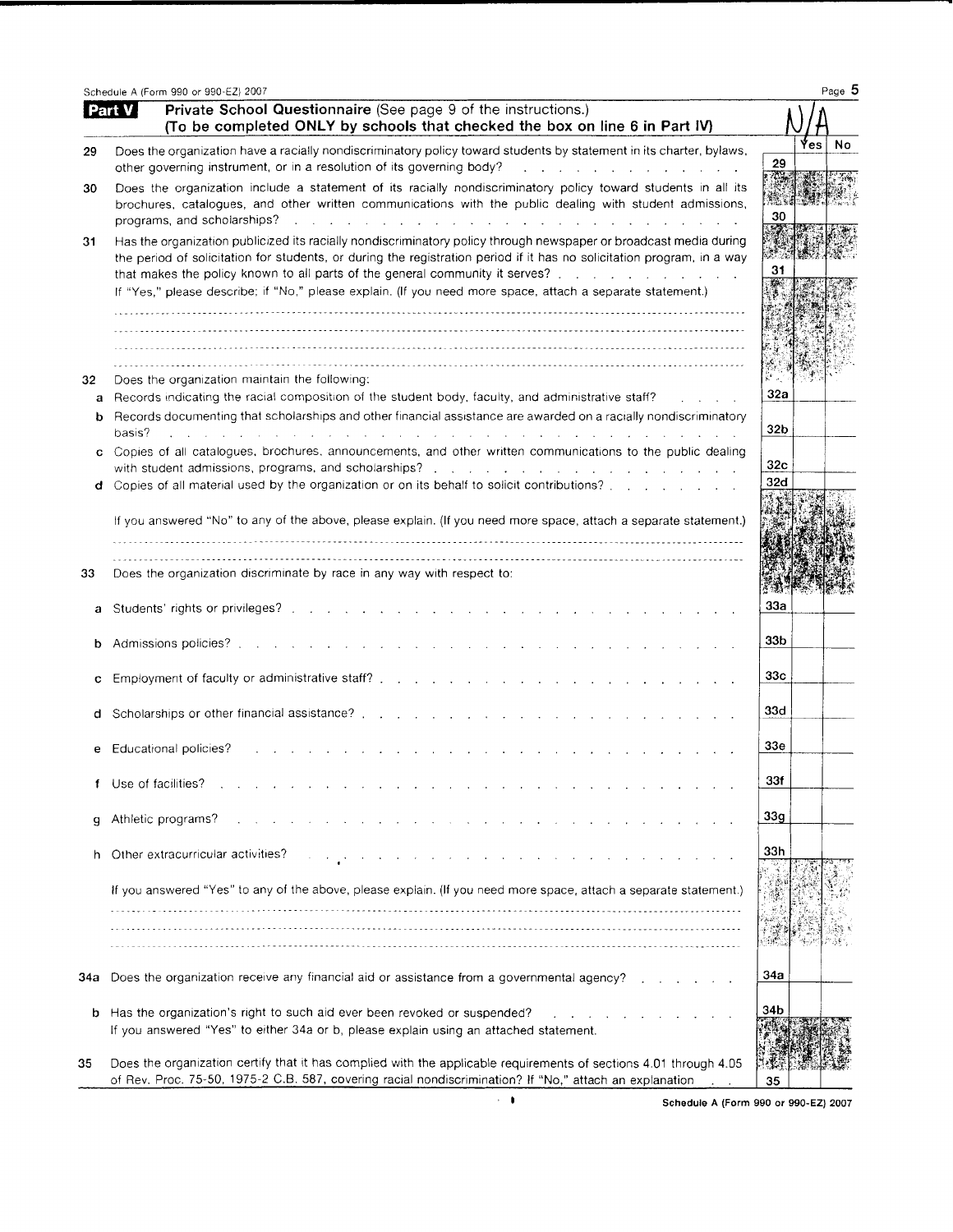|     | Schedule A (Form 990 or 990-EZ) 2007                                                                                                                                                                                                                                                                                           | Page 5          |
|-----|--------------------------------------------------------------------------------------------------------------------------------------------------------------------------------------------------------------------------------------------------------------------------------------------------------------------------------|-----------------|
|     | Private School Questionnaire (See page 9 of the instructions.)<br><b>Part V</b><br>(To be completed ONLY by schools that checked the box on line 6 in Part IV)                                                                                                                                                                 |                 |
| 29  | Does the organization have a racially nondiscriminatory policy toward students by statement in its charter, bylaws,<br>other governing instrument, or in a resolution of its governing body?<br>and a strategic control of the                                                                                                 | No<br>Yes<br>29 |
| 30  | Does the organization include a statement of its racially nondiscriminatory policy toward students in all its<br>brochures, catalogues, and other written communications with the public dealing with student admissions,<br>programs, and scholarships?<br>the contract of the contract of the contract of the contract of    | 30              |
| 31  | Has the organization publicized its racially nondiscriminatory policy through newspaper or broadcast media during<br>the period of solicitation for students, or during the registration period if it has no solicitation program, in a way<br>that makes the policy known to all parts of the general community it serves?    | 31              |
|     | If "Yes," please describe; if "No," please explain. (If you need more space, attach a separate statement.)                                                                                                                                                                                                                     |                 |
| 32  | Does the organization maintain the following:                                                                                                                                                                                                                                                                                  |                 |
| a   | Records indicating the racial composition of the student body, faculty, and administrative staff?                                                                                                                                                                                                                              | 32a             |
| b   | Records documenting that scholarships and other financial assistance are awarded on a racially nondiscriminatory<br>basis?<br>the control of the control of the control of<br>and the control of the con-                                                                                                                      | 32 <sub>b</sub> |
| C   | Copies of all catalogues, brochures, announcements, and other written communications to the public dealing                                                                                                                                                                                                                     | 32 <sub>c</sub> |
| đ   | with student admissions, programs, and scholarships?<br>and the contract of the contract of the contract of the contract of<br>Copies of all material used by the organization or on its behalf to solicit contributions? [11] [12] Copies of all material used by the organization or on its behalf to solicit contributions? | 32d             |
|     | If you answered "No" to any of the above, please explain. (If you need more space, attach a separate statement.)                                                                                                                                                                                                               |                 |
| 33  | Does the organization discriminate by race in any way with respect to:                                                                                                                                                                                                                                                         |                 |
| a   | Students' rights or privileges? The state of the state of the state of the state of the state of the state of the state of the state of the state of the state of the state of the state of the state of the state of the stat                                                                                                 | <b>33a</b>      |
| b   | Admissions policies?<br>and a straight and a straight and                                                                                                                                                                                                                                                                      | 33b             |
| с   |                                                                                                                                                                                                                                                                                                                                | 33c             |
| d   | Scholarships or other financial assistance?.                                                                                                                                                                                                                                                                                   | 33d             |
| е   | Educational policies?                                                                                                                                                                                                                                                                                                          | 33 <sub>e</sub> |
| f   | Use of facilities?                                                                                                                                                                                                                                                                                                             | 33f             |
| g   | Athletic programs?                                                                                                                                                                                                                                                                                                             | 33 <sub>g</sub> |
| h   | Other extracurricular activities?<br>المتناول والمتناول والمتناول والتواري والمتناول والمتناول والمتناول والمتناول                                                                                                                                                                                                             | 33h             |
|     | If you answered "Yes" to any of the above, please explain. (If you need more space, attach a separate statement.)                                                                                                                                                                                                              |                 |
| 34a | Does the organization receive any financial aid or assistance from a governmental agency?                                                                                                                                                                                                                                      | 34a             |
|     | b Has the organization's right to such aid ever been revoked or suspended?<br>If you answered "Yes" to either 34a or b, please explain using an attached statement.                                                                                                                                                            | 34b             |
| 35  | Does the organization certify that it has complied with the applicable requirements of sections 4.01 through 4.05<br>of Rev. Proc. 75-50, 1975-2 C.B. 587, covering racial nondiscrimination? If "No," attach an explanation                                                                                                   | 35              |

Schedule A (Form 990 or 990-EZ) 2007

 $\sim 10^7$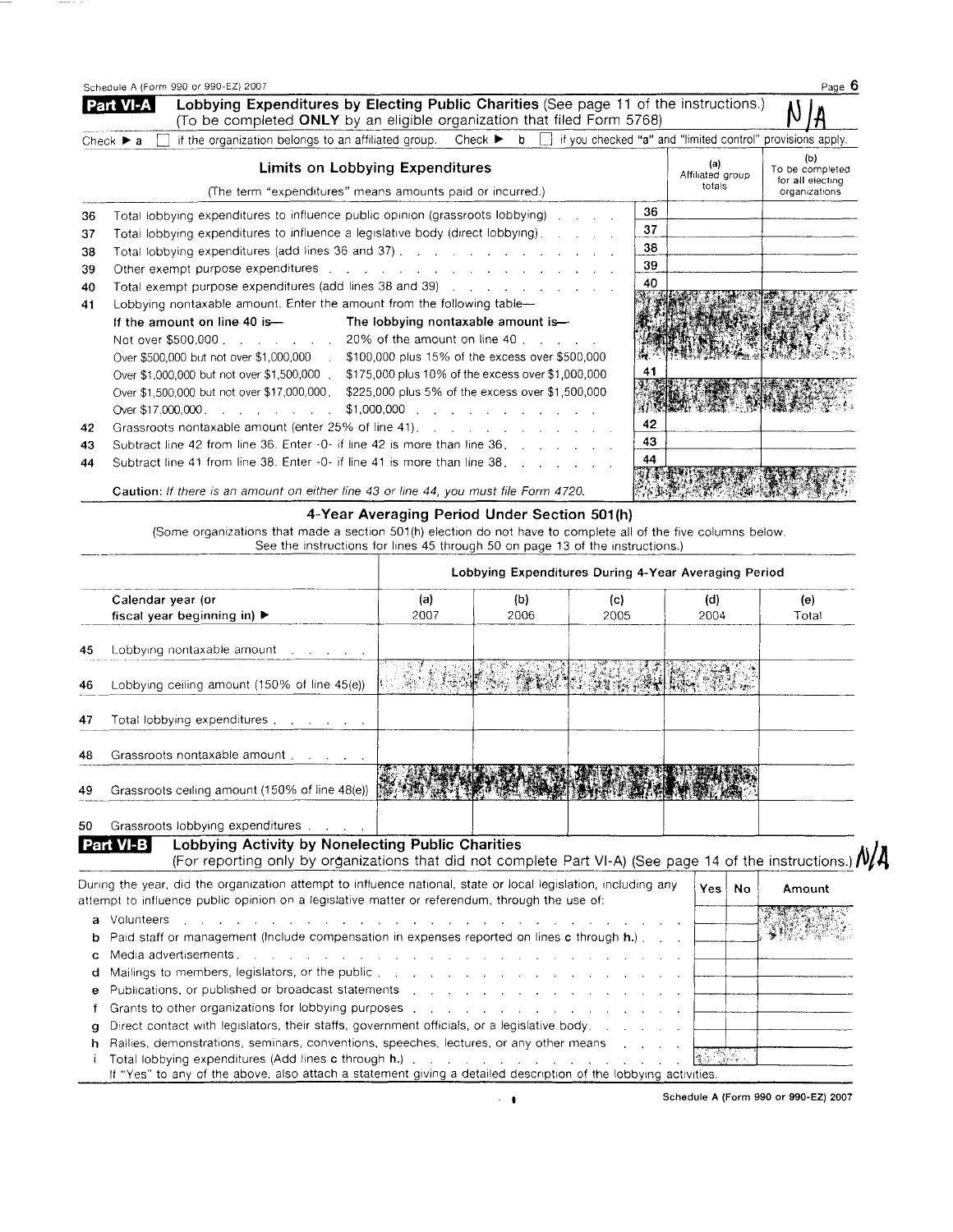|    | Schedule A (Form 990 or 990-EZ) 2007                                                                                                                                                 |    |                                   | Page 6                                                      |
|----|--------------------------------------------------------------------------------------------------------------------------------------------------------------------------------------|----|-----------------------------------|-------------------------------------------------------------|
|    | Lobbying Expenditures by Electing Public Charities (See page 11 of the instructions.)<br><b>Part VI-A</b><br>(To be completed ONLY by an eligible organization that filed Form 5768) |    |                                   |                                                             |
|    | if the organization belongs to an affiliated group. Check $\triangleright$ b $\Box$ if you checked "a" and "limited control" provisions apply.<br>Check $\triangleright$ a           |    |                                   |                                                             |
|    | Limits on Lobbying Expenditures<br>(The term "expenditures" means amounts paid or incurred.)                                                                                         |    | (a)<br>Affiliated group<br>totals | (b)<br>To be completed<br>for all electing<br>organizations |
| 36 | Total lobbying expenditures to influence public opinion (grassroots lobbying)                                                                                                        | 36 |                                   |                                                             |
| 37 | Total lobbying expenditures to influence a legislative body (direct lobbying).                                                                                                       | 37 |                                   |                                                             |
| 38 | Total lobbying expenditures (add lines 36 and 37)                                                                                                                                    | 38 |                                   |                                                             |
| 39 | Other exempt purpose expenditures contains a substitution of the state of the state of the state of the state of                                                                     | 39 |                                   |                                                             |
| 40 | Total exempt purpose expenditures (add lines 38 and 39)                                                                                                                              | 40 |                                   |                                                             |
| 41 | Lobbying nontaxable amount. Enter the amount from the following table-                                                                                                               |    |                                   |                                                             |
|    | If the amount on line 40 is-<br>The lobbying nontaxable amount is-                                                                                                                   |    |                                   |                                                             |
|    | Not over \$500,000 20% of the amount on line 40                                                                                                                                      |    |                                   |                                                             |
|    | Over \$500,000 but not over \$1,000,000 . \$100,000 plus 15% of the excess over \$500,000                                                                                            |    |                                   |                                                             |
|    | Over \$1,000,000 but not over \$1,500,000.<br>\$175,000 plus 10% of the excess over \$1,000,000                                                                                      | 41 |                                   |                                                             |
|    | Over \$1,500,000 but not over \$17,000,000,<br>\$225,000 plus 5% of the excess over \$1,500,000                                                                                      |    |                                   |                                                             |
|    | $$1,000,000$<br>Over \$17,000,000                                                                                                                                                    |    |                                   |                                                             |
| 42 | Grassroots nontaxable amount (enter 25% of line 41).                                                                                                                                 | 42 |                                   |                                                             |
| 43 | Subtract line 42 from line 36. Enter -0- if line 42 is more than line 36.                                                                                                            | 43 |                                   |                                                             |
| 44 | Subtract line 41 from line 38. Enter -0- if line 41 is more than line 38.                                                                                                            | 44 |                                   |                                                             |
|    | Caution: If there is an amount on either line 43 or line 44, you must file Form 4720.                                                                                                |    |                                   |                                                             |

 $\cdots$ 

## 4-Year Averaging Period Under Section 501(h)

(Some organizations that made a section 501(h) election do not have to complete all of the five columns below. See the instructions for lines 45 through 50 on page 13 of the instructions.)

| Lobbying Expenditures During 4-Year Averaging Period |                                                                                                                                                                                                                               |                                                                                                                 |      |                                                                                                                                                                                                                                      |       |                    |        |  |  |
|------------------------------------------------------|-------------------------------------------------------------------------------------------------------------------------------------------------------------------------------------------------------------------------------|-----------------------------------------------------------------------------------------------------------------|------|--------------------------------------------------------------------------------------------------------------------------------------------------------------------------------------------------------------------------------------|-------|--------------------|--------|--|--|
|                                                      | Calendar year (or                                                                                                                                                                                                             | (a)                                                                                                             | (b)  | (c)                                                                                                                                                                                                                                  | (d)   |                    | (e)    |  |  |
|                                                      | fiscal year beginning in) $\blacktriangleright$                                                                                                                                                                               | 2007                                                                                                            | 2006 | 2005                                                                                                                                                                                                                                 | 2004  |                    | Total  |  |  |
| 45                                                   | Lobbying nontaxable amount $\ldots$ , $\ldots$                                                                                                                                                                                |                                                                                                                 |      |                                                                                                                                                                                                                                      |       |                    |        |  |  |
| 46                                                   | Lobbying ceiling amount (150% of line 45(e))                                                                                                                                                                                  |                                                                                                                 |      | <u>San Maria and Maria and Maria and Maria and Maria and Maria and Maria and Maria and Maria and Maria and Maria and Maria and Maria and Maria and Maria and Maria and Maria and Maria and Maria and Maria and Maria and Maria a</u> |       |                    |        |  |  |
| 47                                                   | Total lobbying expenditures                                                                                                                                                                                                   |                                                                                                                 |      |                                                                                                                                                                                                                                      |       |                    |        |  |  |
| 48                                                   | Grassroots nontaxable amount                                                                                                                                                                                                  |                                                                                                                 |      |                                                                                                                                                                                                                                      |       |                    |        |  |  |
| 49                                                   | Grassroots ceiling amount (150% of line 48(e))                                                                                                                                                                                |                                                                                                                 |      |                                                                                                                                                                                                                                      |       |                    |        |  |  |
| 50                                                   | Grassroots lobbying expenditures                                                                                                                                                                                              |                                                                                                                 |      |                                                                                                                                                                                                                                      |       |                    |        |  |  |
|                                                      | Lobbying Activity by Nonelecting Public Charities<br>VI-B<br>(For reporting only by organizations that did not complete Part VI-A) (See page 14 of the instructions.) $\mathcal{N}_{\ell}$                                    |                                                                                                                 |      |                                                                                                                                                                                                                                      |       |                    |        |  |  |
|                                                      | During the year, did the organization attempt to influence national, state or local legislation, including any<br>attempt to influence public opinion on a legislative matter or referendum, through the use of:              |                                                                                                                 |      |                                                                                                                                                                                                                                      | Yes l | No                 | Amount |  |  |
| а                                                    | Volunteers                                                                                                                                                                                                                    | the contract of the contract of the contract of the contract of the contract of the contract of the contract of |      |                                                                                                                                                                                                                                      |       |                    |        |  |  |
|                                                      | Paid staff or management (Include compensation in expenses reported on lines c through h.).                                                                                                                                   |                                                                                                                 |      |                                                                                                                                                                                                                                      |       |                    |        |  |  |
|                                                      | Media advertisements. A contract the contract of the contract of the contract of the contract of the contract of the contract of the contract of the contract of the contract of the contract of the contract of the contract |                                                                                                                 |      |                                                                                                                                                                                                                                      |       |                    |        |  |  |
|                                                      | Mailings to members, legislators, or the public enteries and a series of the series of the series of the series                                                                                                               |                                                                                                                 |      |                                                                                                                                                                                                                                      |       |                    |        |  |  |
|                                                      | Publications, or published or broadcast statements and a contact of the contact of the contact of the contact of the contact of the contact of the contact of the contact of the contact of the contact of the contact of the |                                                                                                                 |      |                                                                                                                                                                                                                                      |       |                    |        |  |  |
|                                                      |                                                                                                                                                                                                                               |                                                                                                                 |      |                                                                                                                                                                                                                                      |       |                    |        |  |  |
| a                                                    | Direct contact with legislators, their staffs, government officials, or a legislative body.                                                                                                                                   |                                                                                                                 |      |                                                                                                                                                                                                                                      |       |                    |        |  |  |
|                                                      | Rallies, demonstrations, seminars, conventions, speeches, lectures, or any other means                                                                                                                                        |                                                                                                                 |      |                                                                                                                                                                                                                                      |       |                    |        |  |  |
|                                                      |                                                                                                                                                                                                                               |                                                                                                                 |      |                                                                                                                                                                                                                                      |       | <b>ALL SECTION</b> |        |  |  |
|                                                      | If "Yes" to any of the above, also attach a statement giving a detailed description of the lobbying activities.                                                                                                               |                                                                                                                 |      |                                                                                                                                                                                                                                      |       |                    |        |  |  |

Schedule A (Form 990 or 990-EZ) 2007